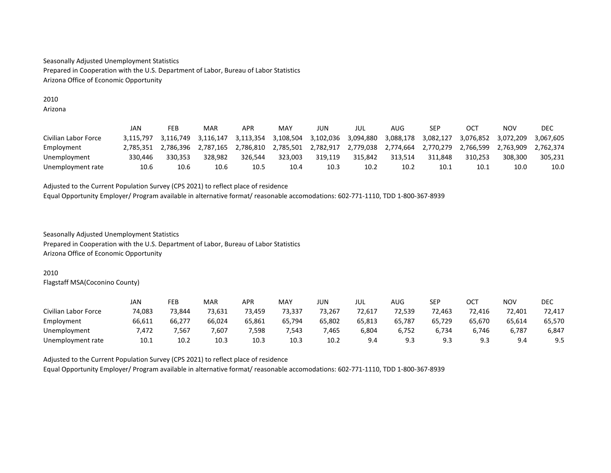#### 2010 Arizona

|                      | JAN       | FEB       | MAR       | APR       | MAY       | JUN       | JUL       | AUG       | SEP       | OCT       | NOV       | DEC       |
|----------------------|-----------|-----------|-----------|-----------|-----------|-----------|-----------|-----------|-----------|-----------|-----------|-----------|
| Civilian Labor Force | 3.115.797 | 3.116.749 | 3.116.147 | 3.113.354 | 3.108.504 | 3,102,036 | 3.094.880 | 3,088,178 | 3.082.127 | 3.076.852 | 3.072.209 | 3.067.605 |
| Employment           | 2.785.351 | 2.786.396 | 2.787.165 | 2.786.810 | 2.785.501 | 2.782.917 | 2.779.038 | 2.774.664 | 2.770.279 | 2.766.599 | 2.763.909 | 2.762.374 |
| Unemployment         | 330.446   | 330.353   | 328.982   | 326.544   | 323.003   | 319.119   | 315.842   | 313.514   | 311.848   | 310.253   | 308,300   | 305.231   |
| Unemployment rate    | 10.6      | 10.6      | 10.6      | 10.5      | 10.4      | 10.3      | 10.2      | 10.2      | 10.1      | 10.1      | 10.0      | 10.0      |

Adjusted to the Current Population Survey (CPS 2021) to reflect place of residence Equal Opportunity Employer/ Program available in alternative format/ reasonable accomodations: 602-771-1110, TDD 1-800-367-8939

Seasonally Adjusted Unemployment Statistics Prepared in Cooperation with the U.S. Department of Labor, Bureau of Labor Statistics Arizona Office of Economic Opportunity

## 2010

Flagstaff MSA(Coconino County)

|                      | JAN    | FEB    | <b>MAR</b> | APR    | MAY    | jun    | JUL    | AUG    | <b>SEP</b> | ОСТ         | <b>NOV</b> | DEC    |
|----------------------|--------|--------|------------|--------|--------|--------|--------|--------|------------|-------------|------------|--------|
| Civilian Labor Force | 74,083 | 73,844 | 73,631     | 73,459 | 73,337 | 73,267 | 72,617 | 72,539 | 72,463     | 72,416      | 72,401     | 72,417 |
| Employment           | 66,611 | 66,277 | 66,024     | 65,861 | 65,794 | 65,802 | 65,813 | 65,787 | 65,729     | 65,670      | 65,614     | 65,570 |
| Unemployment         | 472.   | 7.567  | 7.607      | 7,598  | 7,543  | 7,465  | 6,804  | 6,752  | 6.734      | 6.746       | 6.787      | 6,847  |
| Unemployment rate    | 10.1   | 10.2   | 10.3       | 10.3   | 10.3   | 10.2   | 9.4    | 9.3    | 9.3        | c) ຊ<br>ر.ر | 9.4        | 9.5    |

Adjusted to the Current Population Survey (CPS 2021) to reflect place of residence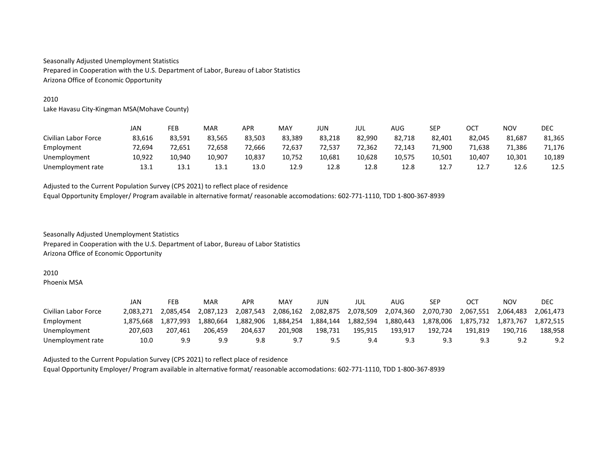#### 2010

Lake Havasu City-Kingman MSA(Mohave County)

|                      | JAN    | FEB    | <b>MAR</b> | APR    | MAY    | JUN    | jul    | AUG    | SEP    | OCT    | <b>NOV</b> | <b>DEC</b> |
|----------------------|--------|--------|------------|--------|--------|--------|--------|--------|--------|--------|------------|------------|
| Civilian Labor Force | 83.616 | 83,591 | 83.565     | 83.503 | 83,389 | 83,218 | 82.990 | 82.718 | 82,401 | 82.045 | 81,687     | 81,365     |
| Employment           | 72,694 | 72,651 | 72.658     | 72,666 | 72,637 | 72,537 | 72.362 | 72,143 | 71,900 | 1.638  | 71,386     | 71,176     |
| Unemployment         | 10,922 | 10,940 | 10.907     | 10,837 | 10,752 | 10,681 | 10,628 | 10,575 | 10,501 | 10.407 | 10,301     | 10,189     |
| Unemployment rate    | 13.1   | 13.1   | 13.1       | 13.0   | 12.9   | 12.8   | 12.8   | 12.8   | 12.7   | 12.7   | 12.6       | 12.5       |

Adjusted to the Current Population Survey (CPS 2021) to reflect place of residence Equal Opportunity Employer/ Program available in alternative format/ reasonable accomodations: 602-771-1110, TDD 1-800-367-8939

Seasonally Adjusted Unemployment Statistics Prepared in Cooperation with the U.S. Department of Labor, Bureau of Labor Statistics Arizona Office of Economic Opportunity

#### 2010

Phoenix MSA

|                      | JAN       | FEB       | MAR       | APR       | MAY       | JUN       | JUL       | AUG       | SEP       | OC <sup>7</sup> | NOV       | DEC       |
|----------------------|-----------|-----------|-----------|-----------|-----------|-----------|-----------|-----------|-----------|-----------------|-----------|-----------|
| Civilian Labor Force | 2.083.271 | 2.085.454 | 2.087.123 | 2.087.543 | 2,086,162 | 2,082,875 | 2,078,509 | 2,074,360 | 2,070,730 | 2,067,551       | 2.064.483 | 2.061.473 |
| Employment           | 1.875.668 | 1.877.993 | L.880.664 | 1.882.906 | 1,884,254 | 1,884,144 | 1,882,594 | 1.880.443 | 1,878,006 | 1,875,732       | 1.873.767 | 1.872.515 |
| Unemployment         | 207.603   | 207,461   | 206.459   | 204.637   | 201,908   | 198.731   | 195.915   | 193.917   | 192.724   | 191.819         | 190.716   | 188.958   |
| Unemployment rate    | 10.0      | 9.9       | 9.9       | 9.8       | 9.7       | 9.5       | 9.4       | 9.3       | 9.3       | 9.3             | 9.2       | 9.2       |

Adjusted to the Current Population Survey (CPS 2021) to reflect place of residence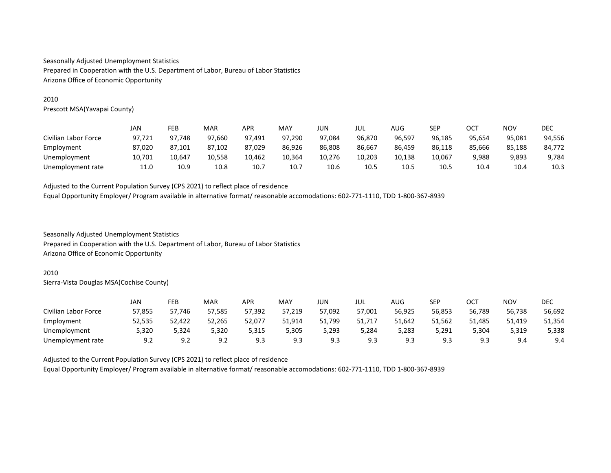## 2010

Prescott MSA(Yavapai County)

|                      | JAN    | FEB    | MAR    | APR    | MAY    | JUN    | JUL    | AUG    | SEP    | ОСТ    | NOV    | DEC    |
|----------------------|--------|--------|--------|--------|--------|--------|--------|--------|--------|--------|--------|--------|
| Civilian Labor Force | 97.721 | 97.748 | 97.660 | 97.491 | 97,290 | 97.084 | 96.870 | 96.597 | 96.185 | 95.654 | 95,081 | 94,556 |
| Employment           | 87.020 | 87,101 | 87.102 | 87.029 | 86,926 | 86,808 | 86.667 | 86.459 | 86.118 | 85.666 | 85.188 | 84,772 |
| Unemployment         | 10,701 | 10.647 | 10.558 | 10.462 | 10,364 | 10.276 | 10.203 | 10,138 | 10,067 | 9,988  | 9,893  | 9,784  |
| Unemployment rate    | 11.0   | 10.9   | 10.8   | 10.7   | 10.7   | 10.6   | 10.5   | 10.5   | 10.5   | 10.4   | 10.4   | 10.3   |

Adjusted to the Current Population Survey (CPS 2021) to reflect place of residence Equal Opportunity Employer/ Program available in alternative format/ reasonable accomodations: 602-771-1110, TDD 1-800-367-8939

Seasonally Adjusted Unemployment Statistics Prepared in Cooperation with the U.S. Department of Labor, Bureau of Labor Statistics Arizona Office of Economic Opportunity

#### 2010

Sierra-Vista Douglas MSA(Cochise County)

|                      | JAN    | FEB    | <b>MAR</b> | APR    | MAY    | JUN    | jul    | AUG    | <b>SEP</b> | ост        | <b>NOV</b> | <b>DEC</b> |
|----------------------|--------|--------|------------|--------|--------|--------|--------|--------|------------|------------|------------|------------|
| Civilian Labor Force | 57,855 | 57,746 | 57,585     | 57,392 | 57,219 | 57,092 | 57,001 | 56,925 | 56,853     | 56,789     | 56,738     | 56,692     |
| Employment           | 52,535 | 52,422 | 52,265     | 52,077 | 51,914 | 51,799 | 51,717 | 51.642 | 51.562     | 51,485     | 51,419     | 51,354     |
| Unemployment         | 5,320  | 5.324  | 5.320      | 5,315  | 5,305  | 5,293  | 5.284  | 5,283  | 5,291      | 5.304      | 5,319      | 5,338      |
| Unemployment rate    | 9.2    | 9.2    | 9.2        | 9.3    | 9.3    | 9.3    | 9.3    | 9.3    | 9.3        | c٥<br>ر. ر | 9.4        | 9.4        |

Adjusted to the Current Population Survey (CPS 2021) to reflect place of residence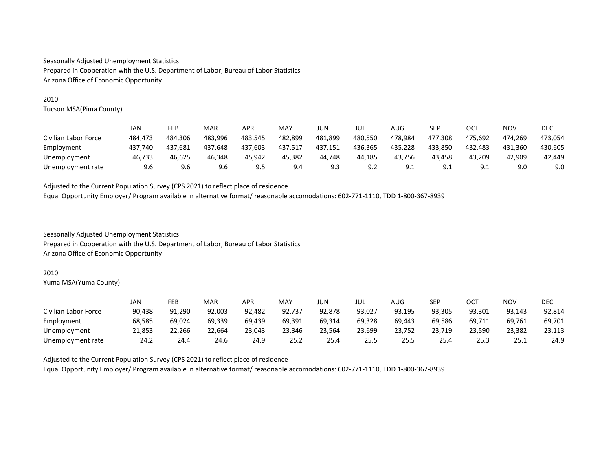## 2010

Tucson MSA(Pima County)

|                      | JAN     | FEB     | MAR     | APR     | MAY     | JUN     | JUL     | AUG          | <b>SEP</b> | ост             | NOV     | DEC     |
|----------------------|---------|---------|---------|---------|---------|---------|---------|--------------|------------|-----------------|---------|---------|
| Civilian Labor Force | 484.473 | 484,306 | 483.996 | 483.545 | 482,899 | 481.899 | 480.550 | 478,984      | 477.308    | 475.692         | 474,269 | 473,054 |
| Employment           | 437.740 | 437,681 | 437.648 | 437.603 | 437,517 | 437,151 | 436.365 | 435,228      | 433.850    | 432.483         | 431.360 | 430,605 |
| Unemployment         | 46,733  | 46,625  | 46.348  | 45.942  | 45,382  | 44,748  | 44.185  | 43,756       | 43,458     | 43.209          | 42,909  | 42,449  |
| Unemployment rate    | 9.6     | 9.6     | 9.6     | 9.5     | 9.4     | 9.3     | 9.2     | ، ۹<br>ـ . ـ | 9.1        | Q 1<br><u>.</u> | 9.0     | 9.0     |

Adjusted to the Current Population Survey (CPS 2021) to reflect place of residence Equal Opportunity Employer/ Program available in alternative format/ reasonable accomodations: 602-771-1110, TDD 1-800-367-8939

Seasonally Adjusted Unemployment Statistics Prepared in Cooperation with the U.S. Department of Labor, Bureau of Labor Statistics Arizona Office of Economic Opportunity

#### 2010

Yuma MSA(Yuma County)

|                      | JAN    | FEB    | MAR    | APR    | MAY    | JUN    | jul    | AUG    | <b>SEP</b> | OCT    | NOV    | DEC    |
|----------------------|--------|--------|--------|--------|--------|--------|--------|--------|------------|--------|--------|--------|
| Civilian Labor Force | 90.438 | 91.290 | 92.003 | 92.482 | 92.737 | 92.878 | 93.027 | 93.195 | 93.305     | 93.301 | 93.143 | 92,814 |
| Employment           | 68.585 | 69,024 | 69,339 | 69.439 | 69,391 | 69,314 | 69.328 | 69.443 | 69.586     | 69,711 | 69.761 | 69,701 |
| Unemployment         | 21,853 | 22,266 | 22.664 | 23.043 | 23.346 | 23.564 | 23.699 | 23,752 | 23,719     | 23.590 | 23,382 | 23,113 |
| Unemployment rate    | 24.2   | 24.4   | 24.6   | 24.9   | 25.2   | 25.4   | 25.5   | 25.5   | 25.4       | 25.3   | 25.1   | 24.9   |

Adjusted to the Current Population Survey (CPS 2021) to reflect place of residence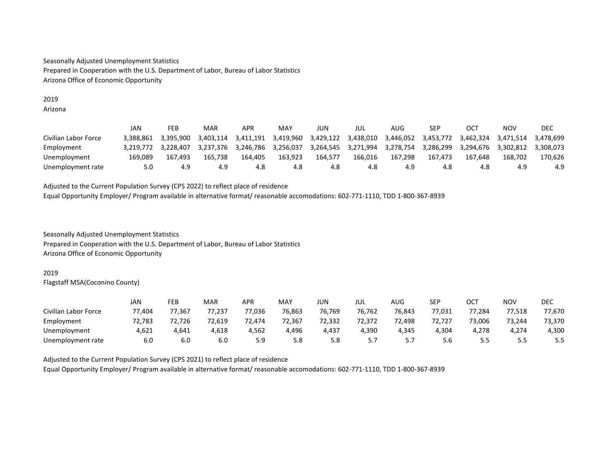## 2019 Arizona

|                      | JAN       | FEB       | MAR       | APR       | MAY       | JUN                 | JUL       | AUG       | SEP       | OC <sub>7</sub> | NOV       | DEC       |
|----------------------|-----------|-----------|-----------|-----------|-----------|---------------------|-----------|-----------|-----------|-----------------|-----------|-----------|
| Civilian Labor Force | 3.388.861 | 3.395.900 | 3.403.114 | 3.411.191 | 3.419.960 | 3.429.122           | 3.438.010 | 3,446,052 | 3,453,772 | 3.462.324       | 3.471.514 | 3.478.699 |
| Employment           | 3.219.772 | 3.228.407 | 3.237.376 | 3.246.786 | 3.256.037 | 3,264,545 3,271,994 |           | 3.278.754 | 3.286.299 | 3.294.676       | 3.302.812 | 3.308.073 |
| Unemployment         | 169.089   | 167.493   | 165.738   | 164.405   | 163.923   | 164.577             | 166.016   | 167,298   | 167.473   | 167.648         | 168.702   | 170.626   |
| Unemployment rate    | 5.0       | 4.9       | 4.9       | 4.8       | 4.8       | 4.8                 | 4.8       | 4.9       | 4.8       | 4.8             | -4.9      | 4.9       |

Adjusted to the Current Population Survey (CPS 2022) to reflect place of residence Equal Opportunity Employer/ Program available in alternative format/ reasonable accomodations: 602-771-1110, TDD 1-800-367-8939

Seasonally Adjusted Unemployment Statistics Prepared in Cooperation with the U.S. Department of Labor, Bureau of Labor Statistics Arizona Office of Economic Opportunity

# 2019

Flagstaff MSA(Coconino County)

|                      | JAN    | FEB    | <b>MAR</b> | APR    | MAY    | JUN    | JUL    | AUG       | SEP    | ост    | <b>NOV</b> | <b>DEC</b> |
|----------------------|--------|--------|------------|--------|--------|--------|--------|-----------|--------|--------|------------|------------|
| Civilian Labor Force | 77.404 | 77,367 | 77,237     | 77,036 | 76,863 | 76.769 | 76,762 | 76,843    | 77,031 | 77.284 | 77,518     | 77,670     |
| Employment           | 72,783 | 72,726 | 72,619     | 72,474 | 72,367 | 72,332 | 72.372 | 72,498    | 72,727 | 73,006 | 73,244     | 73,370     |
| Unemployment         | 4,621  | 4,641  | 4,618      | 4.562  | 4,496  | 4,437  | 4.390  | 4.345     | 4,304  | 4.278  | 4,274      | 4,300      |
| Unemployment rate    | 6.0    | 6.0    | 6.0        | 5.9    | 5.8    | 5.8    | 5.7    | 57<br>، ب | 5.6    | 5.5    | 5.5        | 5.5        |

Adjusted to the Current Population Survey (CPS 2021) to reflect place of residence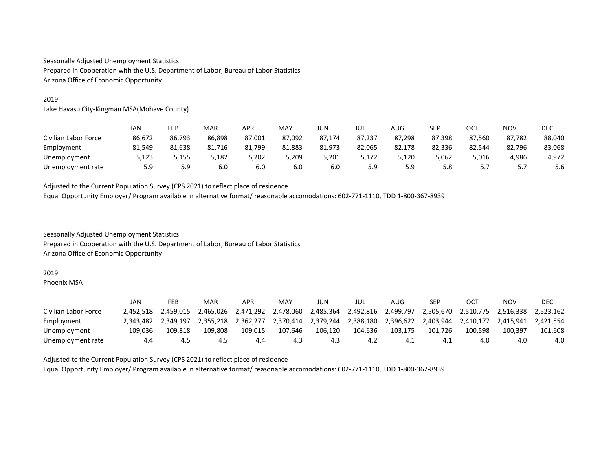# 2019

Lake Havasu City-Kingman MSA(Mohave County)

|                      | JAN    | FEB    | <b>MAR</b> | APR    | MAY    | JUN    | JUL    | AUG    | <b>CED</b><br>ᅴ | OCT    | <b>NOV</b> | DEC    |
|----------------------|--------|--------|------------|--------|--------|--------|--------|--------|-----------------|--------|------------|--------|
| Civilian Labor Force | 86,672 | 86,793 | 86,898     | 87,001 | 87,092 | 87.174 | 87,237 | 87,298 | 87,398          | 87.560 | 87,782     | 88,040 |
| Employment           | 81.549 | 81,638 | 81.716     | 81.799 | 81,883 | 81.973 | 82.065 | 82.178 | 82,336          | 82.544 | 82,796     | 83,068 |
| Unemployment         | 5,123  | 5.155  | 5.182      | 5.202  | 5,209  | 5.201  | 5.172  | 5.120  | 5,062           | 5,016  | 4,986      | 4.972  |
| Unemployment rate    | 5.9    | 5.9    | 6.0        | 6.0    | 6.0    | 6.0    | 5.9    | 5.9    | 5.8             | .      | 5.7        | 5.6    |

Adjusted to the Current Population Survey (CPS 2021) to reflect place of residence Equal Opportunity Employer/ Program available in alternative format/ reasonable accomodations: 602-771-1110, TDD 1-800-367-8939

Seasonally Adjusted Unemployment Statistics Prepared in Cooperation with the U.S. Department of Labor, Bureau of Labor Statistics Arizona Office of Economic Opportunity

#### 2019

Phoenix MSA

|                      | JAN       | FEB       | MAR       | APR       | MAY       | JUN       | jul       | AUG       | SEP       | OCT       | NOV       | DEC       |
|----------------------|-----------|-----------|-----------|-----------|-----------|-----------|-----------|-----------|-----------|-----------|-----------|-----------|
| Civilian Labor Force | 2.452.518 | 2.459.015 | 2.465.026 | 2.471.292 | 2.478.060 | 2.485.364 | 2.492.816 | 2.499.797 | 2,505,670 | 2,510,775 | 2.516.338 | 2.523.162 |
| Employment           | 2.343.482 | 2.349.197 | 2.355.218 | 2.362.277 | 2.370.414 | 2.379.244 | 2.388.180 | 2.396.622 | 2.403.944 | 2.410.177 | 2.415.941 | 2.421.554 |
| Unemployment         | 109.036   | 109.818   | 109.808   | 109.015   | 107.646   | 106.120   | 104.636   | 103.175   | 101.726   | 100.598   | 100.397   | 101.608   |
| Unemployment rate    | 4.4       | 4.5       | 4.5       | 4.4       | 4.3       | 4.3       | 4.2       | ⊥.4       | 4.1       | 4.0       | 4.0       | 4.0       |

Adjusted to the Current Population Survey (CPS 2021) to reflect place of residence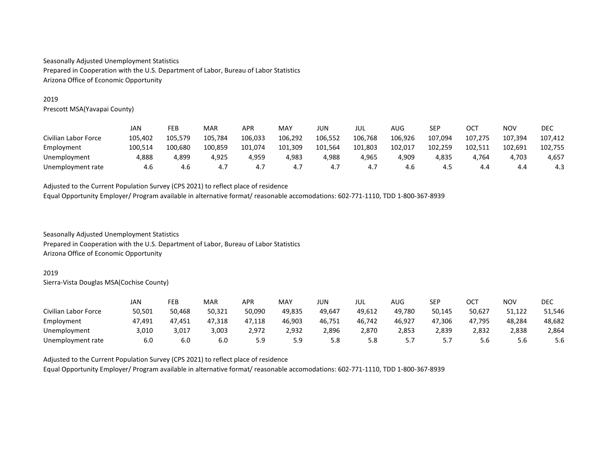## 2019

Prescott MSA(Yavapai County)

|                      | JAN     | FEB     | MAR     | APR     | MAY     | JUN     | jul     | AUG     | SEP     | ост     | NOV     | <b>DEC</b> |
|----------------------|---------|---------|---------|---------|---------|---------|---------|---------|---------|---------|---------|------------|
| Civilian Labor Force | 105,402 | 105.579 | 105.784 | 106,033 | 106,292 | 106.552 | 106,768 | 106,926 | 107,094 | 107,275 | 107,394 | 107,412    |
| Employment           | 100.514 | 100,680 | 100.859 | 101,074 | 101,309 | 101.564 | 101,803 | 102,017 | 102.259 | 102,511 | 102,691 | 102,755    |
| Unemployment         | 4,888   | 4,899   | 4.925   | 4.959   | 4,983   | 4,988   | 4,965   | 4,909   | 4,835   | 4.764   | 4,703   | 4,657      |
| Unemployment rate    | 4.6     | 4.6     | 4.,     | 4.7     | 4.7     | 4.,     | 4.7     | 4.b     | 4.5     | 4.4     | 4.4     | 4.3        |

Adjusted to the Current Population Survey (CPS 2021) to reflect place of residence Equal Opportunity Employer/ Program available in alternative format/ reasonable accomodations: 602-771-1110, TDD 1-800-367-8939

Seasonally Adjusted Unemployment Statistics Prepared in Cooperation with the U.S. Department of Labor, Bureau of Labor Statistics Arizona Office of Economic Opportunity

#### 2019

Sierra-Vista Douglas MSA(Cochise County)

|                      | JAN    | FEB    | <b>MAR</b> | APR    | MAY    | JUN    | JUL    | AUG       | <b>SEP</b> | ост    | NOV    | DEC    |
|----------------------|--------|--------|------------|--------|--------|--------|--------|-----------|------------|--------|--------|--------|
| Civilian Labor Force | 50,501 | 50.468 | 50.321     | 50.090 | 49.835 | 49.647 | 49.612 | 49.780    | 50.145     | 50.627 | 51.122 | 51,546 |
| Employment           | 47,491 | 47,451 | 47,318     | 47,118 | 46,903 | 46,751 | 46,742 | 46,927    | 47,306     | 47.795 | 48,284 | 48,682 |
| Unemployment         | 3,010  | 3,017  | 3,003      | 2,972  | 2,932  | 2,896  | 2,870  | 2,853     | 2,839      | 2,832  | 2,838  | 2,864  |
| Unemployment rate    | 6.0    | 6.0    | 6.0        | 5.9    | 5.9    | 5.8    | 5.8    | 57<br>، ب |            | 5.6    | 5.6    | 5.6    |

Adjusted to the Current Population Survey (CPS 2021) to reflect place of residence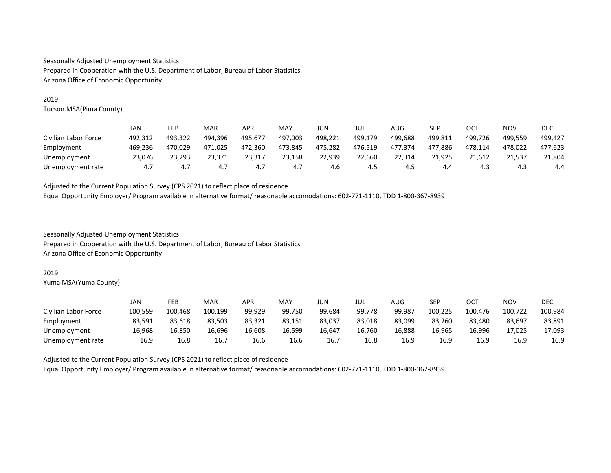# 2019

Tucson MSA(Pima County)

|                      | JAN     | FEB     | <b>MAR</b> | <b>APR</b> | MAY     | JUN     | JUL     | AUG     | <b>CED</b><br>ᅴ | OCT     | <b>NOV</b> | DEC     |
|----------------------|---------|---------|------------|------------|---------|---------|---------|---------|-----------------|---------|------------|---------|
| Civilian Labor Force | 492,312 | 493,322 | 494.396    | 495.677    | 497,003 | 498,221 | 499,179 | 499.688 | 499,811         | 499.726 | 499.559    | 499.427 |
| Employment           | 469.236 | 470,029 | 471,025    | 472.360    | 473,845 | 475,282 | 476.519 | 477,374 | 477.886         | 478.114 | 478.022    | 477,623 |
| Unemployment         | 23.076  | 23,293  | 23.371     | 23.317     | 23,158  | 22,939  | 22.660  | 22.314  | 21.925          | 21.612  | 21,537     | 21,804  |
| Unemployment rate    | 4.7     | 4.7     |            | 4.,        | 4.7     | 4.6     | 4.5     | 4.5     | 4.4             | 4.3     | د.4        | 4.4     |

Adjusted to the Current Population Survey (CPS 2021) to reflect place of residence Equal Opportunity Employer/ Program available in alternative format/ reasonable accomodations: 602-771-1110, TDD 1-800-367-8939

Seasonally Adjusted Unemployment Statistics Prepared in Cooperation with the U.S. Department of Labor, Bureau of Labor Statistics Arizona Office of Economic Opportunity

#### 2019

Yuma MSA(Yuma County)

|                      | JAN     | FEB     | MAR     | APR    | MAY    | JUN    | JUL    | AUG    | SEP     | ОСТ     | NOV     | DEC     |
|----------------------|---------|---------|---------|--------|--------|--------|--------|--------|---------|---------|---------|---------|
| Civilian Labor Force | 100,559 | 100.468 | 100.199 | 99.929 | 99.750 | 99.684 | 99.778 | 99.987 | 100.225 | 100,476 | 100.722 | 100.984 |
| Employment           | 83,591  | 83,618  | 83.503  | 83.321 | 83,151 | 83,037 | 83.018 | 83,099 | 83,260  | 83.480  | 83,697  | 83,891  |
| Unemployment         | 16,968  | 16,850  | 16.696  | 16.608 | 16,599 | 16.647 | 16.760 | 16,888 | 16.965  | 16.996  | 17,025  | 17,093  |
| Unemployment rate    | 16.9    | 16.8    | 16.7    | 16.6   | 16.6   | 16.7   | 16.8   | 16.9   | 16.9    | 16.9    | 16.9    | 16.9    |

Adjusted to the Current Population Survey (CPS 2021) to reflect place of residence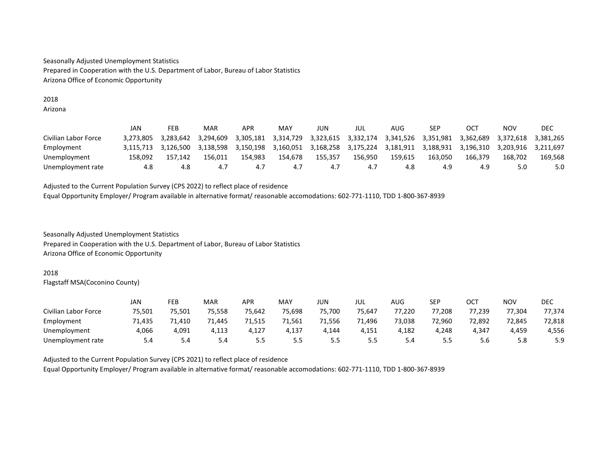# 2018

Arizona

|                      | JAN       | FEB       | MAR       | APR       | MAY       | JUN       | JUL       | AUG       | SEP       | OCT       | <b>NOV</b> | <b>DEC</b> |
|----------------------|-----------|-----------|-----------|-----------|-----------|-----------|-----------|-----------|-----------|-----------|------------|------------|
| Civilian Labor Force | 3.273.805 | 3.283.642 | 3.294.609 | 3.305.181 | 3.314.729 | 3.323.615 | 3.332.174 | 3.341.526 | 3,351,981 | 3.362.689 | 3.372.618  | 3.381.265  |
| Employment           | 3.115.713 | 3.126.500 | 3.138.598 | 3.150.198 | 3.160.051 | 3.168.258 | 3.175.224 | 3.181.911 | 3.188.931 | 3.196.310 | 3.203.916  | 3.211.697  |
| Unemployment         | 158.092   | 157.142   | 156.011   | 154.983   | 154.678   | 155.357   | 156.950   | 159.615   | 163.050   | 166.379   | 168.702    | 169.568    |
| Unemployment rate    | 4.8       | 4.8       | 4.        | 4.,       | 4.7       | 4.1       | 4.,       | 4.8       | 4.9       | 4.9       | 5.0        | 5.0        |

Adjusted to the Current Population Survey (CPS 2022) to reflect place of residence Equal Opportunity Employer/ Program available in alternative format/ reasonable accomodations: 602-771-1110, TDD 1-800-367-8939

Seasonally Adjusted Unemployment Statistics Prepared in Cooperation with the U.S. Department of Labor, Bureau of Labor Statistics Arizona Office of Economic Opportunity

# 2018

Flagstaff MSA(Coconino County)

|                      | JAN    | FEB    | MAR    | APR    | MAY    | JUN    | JUL    | AUG    | SEP    | ост    | <b>NOV</b> | <b>DEC</b> |
|----------------------|--------|--------|--------|--------|--------|--------|--------|--------|--------|--------|------------|------------|
| Civilian Labor Force | 75,501 | 75,501 | 75.558 | 75.642 | 75,698 | 75,700 | 75.647 | 77,220 | 77.208 | 77.239 | 77,304     | 77,374     |
| Employment           | 71,435 | 1,410  | 71.445 | 71,515 | 71,561 | 71,556 | 71,496 | 73,038 | 72,960 | 72.892 | 72,845     | 72,818     |
| Unemployment         | 4.066  | 4,091  | 4,113  | 4.127  | 4,137  | 4.144  | 4.151  | 4,182  | 4.248  | 4.347  | 4,459      | 4,556      |
| Unemployment rate    | 5.4    | 5.4    | 5.4    | 5.5    | 5.5    | 5.5    | ر.ر    | 5.4    | 5.5    | 5.6    | 5.8        | 5.9        |

Adjusted to the Current Population Survey (CPS 2021) to reflect place of residence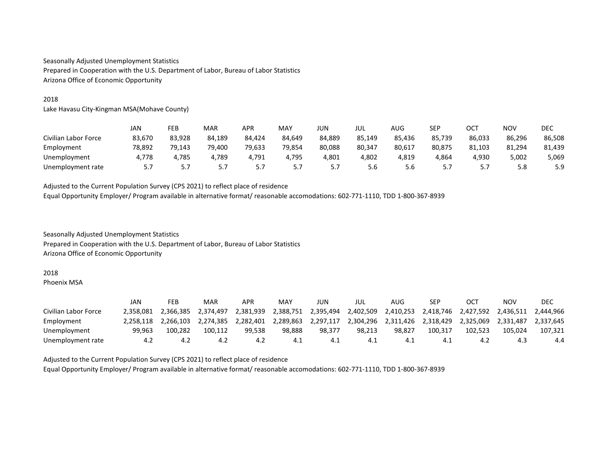## 2018

Lake Havasu City-Kingman MSA(Mohave County)

|                      | JAN       | FEB    | <b>MAR</b> | <b>APR</b> | MAY    | JUN        | jul    | AUG    | <b>CED</b><br>ᅴ | ОСТ      | <b>NOV</b> | DEC    |
|----------------------|-----------|--------|------------|------------|--------|------------|--------|--------|-----------------|----------|------------|--------|
| Civilian Labor Force | 83,670    | 83,928 | 84,189     | 84.424     | 84.649 | 84.889     | 85,149 | 85,436 | 85,739          | 86.033   | 86,296     | 86,508 |
| Employment           | 78.892    | 79.143 | 79.400     | 79.633     | 79,854 | 80.088     | 80.347 | 80.617 | 80.875          | 81.103   | 81.294     | 81,439 |
| Unemployment         | 4.778     | 4.785  | 4.789      | 4.791      | 4.795  | 4,801      | 4.802  | 4.819  | 4.864           | 4.930    | 5,002      | 5,069  |
| Unemployment rate    | ь.<br>. . | 5.7    |            | J.,        | 5      | <u>.,,</u> | 5.6    | 5.6    | .               | <u>.</u> | 5.8        | 5.9    |

Adjusted to the Current Population Survey (CPS 2021) to reflect place of residence Equal Opportunity Employer/ Program available in alternative format/ reasonable accomodations: 602-771-1110, TDD 1-800-367-8939

Seasonally Adjusted Unemployment Statistics Prepared in Cooperation with the U.S. Department of Labor, Bureau of Labor Statistics Arizona Office of Economic Opportunity

#### 2018

Phoenix MSA

|                      | JAN       | FEB       | MAR       | APR       | MAY       | JUN       | jul       | AUG       | SEP       | OC1       | NOV       | DEC       |
|----------------------|-----------|-----------|-----------|-----------|-----------|-----------|-----------|-----------|-----------|-----------|-----------|-----------|
| Civilian Labor Force | 2.358.081 | 2.366.385 | 2.374.497 | 2.381.939 | 2.388.751 | 2.395.494 | 2.402.509 | 2.410.253 | 2.418.746 | 2.427.592 | 2.436.511 | 2.444.966 |
| Employment           | 2.258.118 | 2.266.103 | 2.274.385 | 2,282,401 | 2.289.863 | 2,297,117 | 2.304.296 | 2.311.426 | 2.318.429 | 2.325.069 | 2.331.487 | 2.337.645 |
| Unemployment         | 99.963    | 100.282   | 100.112   | 99.538    | 98.888    | 98.377    | 98.213    | 98.827    | 100.317   | 102.523   | 105.024   | 107.321   |
| Unemployment rate    | 4.2       | 4.2       | 4.2       | 4.2       | 4.1       | -4.1      | 4.⊥       | 4.1       | 4.1       | 4.Z       | -4.3      | 4.4       |

Adjusted to the Current Population Survey (CPS 2021) to reflect place of residence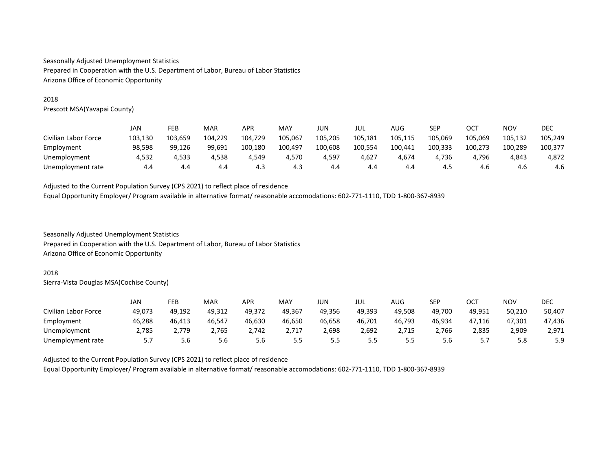## 2018

Prescott MSA(Yavapai County)

|                      | JAN     | FEB     | MAR     | APR     | MAY     | JUN     | JUL     | AUG     | SEP     | ост     | NOV     | DEC     |
|----------------------|---------|---------|---------|---------|---------|---------|---------|---------|---------|---------|---------|---------|
| Civilian Labor Force | 103,130 | 103,659 | 104.229 | 104,729 | 105,067 | 105.205 | 105,181 | 105,115 | 105.069 | 105,069 | 105,132 | 105.249 |
| Employment           | 98.598  | 99.126  | 99.691  | 100.180 | 100,497 | 100.608 | 100.554 | 100,441 | 100.333 | 100,273 | 100.289 | 100.377 |
| Unemployment         | 4.532   | 4.533   | 4.538   | 4.549   | 4.570   | 4,597   | 4.627   | 4.674   | 4.736   | 4.796   | 4,843   | 4.872   |
| Unemployment rate    | 4.4     | 4.4     | 4.4     | 4.3     | 4.3     | 4.4     | 4.4     | 4.4     | 4.5     | 4.6     | 4.6     | 4.6     |

Adjusted to the Current Population Survey (CPS 2021) to reflect place of residence Equal Opportunity Employer/ Program available in alternative format/ reasonable accomodations: 602-771-1110, TDD 1-800-367-8939

Seasonally Adjusted Unemployment Statistics Prepared in Cooperation with the U.S. Department of Labor, Bureau of Labor Statistics Arizona Office of Economic Opportunity

#### 2018

Sierra-Vista Douglas MSA(Cochise County)

|                      | JAN    | FEB    | MAR    | APR    | MAY    | JUN    | jul    | AUG    | <b>SEP</b> | OCT      | NOV    | DEC    |
|----------------------|--------|--------|--------|--------|--------|--------|--------|--------|------------|----------|--------|--------|
| Civilian Labor Force | 49.073 | 49.192 | 49.312 | 49.372 | 49.367 | 49.356 | 49.393 | 49.508 | 49.700     | 49.951   | 50.210 | 50,407 |
| Employment           | 46.288 | 46.413 | 46,547 | 46.630 | 46.650 | 46.658 | 46.701 | 46.793 | 46,934     | 47.116   | 47.301 | 47.436 |
| Unemployment         | 2,785  | 2.779  | 2.765  | 2,742  | 2,717  | 2,698  | 2,692  | 2,715  | 2,766      | 2.835    | 2,909  | 2,971  |
| Unemployment rate    |        | 5.6    | 5.6    | 5.6    | 5.5    | 5.5    | 5.5    | 5.5    | 5.6        | <u>.</u> | 5.8    | 5.9    |

Adjusted to the Current Population Survey (CPS 2021) to reflect place of residence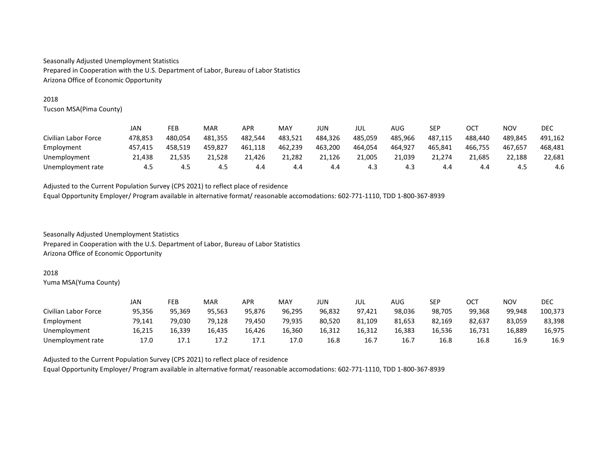## 2018

Tucson MSA(Pima County)

|                      | JAN     | FEB     | MAR     | APR     | MAY     | JUN     | jul     | AUG     | <b>SEP</b> | <b>OCT</b> | <b>NOV</b> | <b>DEC</b> |
|----------------------|---------|---------|---------|---------|---------|---------|---------|---------|------------|------------|------------|------------|
| Civilian Labor Force | 478.853 | 480.054 | 481.355 | 482.544 | 483,521 | 484.326 | 485.059 | 485.966 | 487.115    | 488.440    | 489.845    | 491.162    |
| Employment           | 457.415 | 458.519 | 459.827 | 461.118 | 462,239 | 463.200 | 464.054 | 464.927 | 465.841    | 466.755    | 467.657    | 468.481    |
| Unemployment         | 21,438  | 21,535  | 21,528  | 21,426  | 21,282  | 21,126  | 21,005  | 21,039  | 21,274     | 21,685     | 22,188     | 22,681     |
| Unemployment rate    | 4.5     | 4.5     | 4.5     | 4.4     | 4.4     | 4.4     | 4.3     | 4.3     | 4.4        | 4.4        | 4.5        | 4.6        |

Adjusted to the Current Population Survey (CPS 2021) to reflect place of residence Equal Opportunity Employer/ Program available in alternative format/ reasonable accomodations: 602-771-1110, TDD 1-800-367-8939

Seasonally Adjusted Unemployment Statistics Prepared in Cooperation with the U.S. Department of Labor, Bureau of Labor Statistics Arizona Office of Economic Opportunity

#### 2018

Yuma MSA(Yuma County)

|                      | JAN    | FEB    | MAR    | APR    | MAY    | JUN    | JUL    | AUG    | SEP    | ОСТ    | <b>NOV</b> | DEC     |
|----------------------|--------|--------|--------|--------|--------|--------|--------|--------|--------|--------|------------|---------|
| Civilian Labor Force | 95.356 | 95,369 | 95.563 | 95.876 | 96.295 | 96.832 | 97.421 | 98,036 | 98,705 | 99.368 | 99.948     | 100,373 |
| Employment           | 79.141 | 79.030 | 79.128 | 79.450 | 79,935 | 80,520 | 81.109 | 81,653 | 82,169 | 82.637 | 83,059     | 83,398  |
| Unemployment         | 16.215 | 16.339 | 16.435 | 16.426 | 16.360 | 16.312 | 16.312 | 16,383 | 16.536 | 16.731 | 16.889     | 16.975  |
| Unemployment rate    | 17.0   | 17.1   | 17.2   | 17.1   | 17.0   | 16.8   | 16.7   | 16.7   | 16.8   | 16.8   | 16.9       | 16.9    |

Adjusted to the Current Population Survey (CPS 2021) to reflect place of residence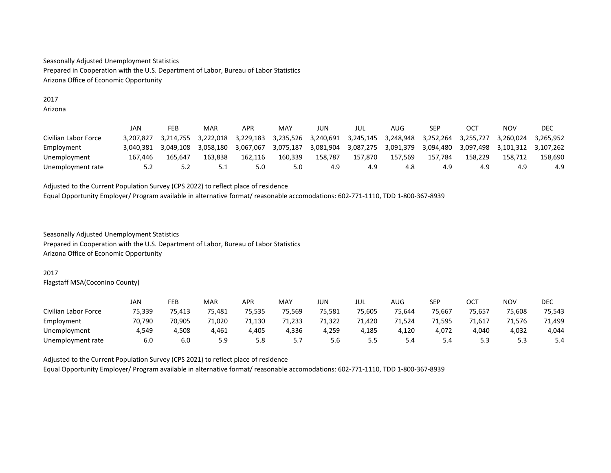#### 2017 Arizona

|                      | JAN       | FEB       | MAR       | APR       | MAY       | JUN       | JUL       | AUG       | SEP       | OC <sub>7</sub> | NOV       | DEC       |
|----------------------|-----------|-----------|-----------|-----------|-----------|-----------|-----------|-----------|-----------|-----------------|-----------|-----------|
| Civilian Labor Force | 3.207.827 | 3.214.755 | 3.222.018 | 3.229.183 | 3.235.526 | 3.240.691 | 3,245,145 | 3.248.948 | 3.252.264 | 3.255.727       | 3.260.024 | 3.265.952 |
| Employment           | 3.040.381 | 3.049.108 | 3.058.180 | 3.067.067 | 3.075.187 | 3.081.904 | 3,087,275 | 3.091.379 | 3.094.480 | 3.097.498       | 3.101.312 | 3.107.262 |
| Unemployment         | 167.446   | 165.647   | 163.838   | 162.116   | 160.339   | 158.787   | 157.870   | 157.569   | 157.784   | 158.229         | 158.712   | 158.690   |
| Unemployment rate    | 5.2       | 5.2       |           | 5.0       | 5.0       | 4.9       | 4.9       | 4.8       | 4.9       | 4.9             | 4.9       | 4.9       |

Adjusted to the Current Population Survey (CPS 2022) to reflect place of residence Equal Opportunity Employer/ Program available in alternative format/ reasonable accomodations: 602-771-1110, TDD 1-800-367-8939

Seasonally Adjusted Unemployment Statistics Prepared in Cooperation with the U.S. Department of Labor, Bureau of Labor Statistics Arizona Office of Economic Opportunity

## 2017

Flagstaff MSA(Coconino County)

|                      | JAN    | FEB    | <b>MAR</b> | APR    | MAY            | JUN    | JUL    | AUG    | <b>SEP</b> | ост    | NOV    | DEC    |
|----------------------|--------|--------|------------|--------|----------------|--------|--------|--------|------------|--------|--------|--------|
| Civilian Labor Force | 75.339 | 75.413 | 75.481     | 75.535 | 75.569         | 75.581 | 75.605 | 75.644 | 75.667     | 75.657 | 75.608 | 75,543 |
| Employment           | 70,790 | 70,905 | 71,020     | 71,130 | 71,233         | 71,322 | 71,420 | 1,524  | 71,595     | 1,617  | 71,576 | 71,499 |
| Unemployment         | 4,549  | 4,508  | 4,461      | 4,405  | 4,336          | 4,259  | 4,185  | 4,120  | 4,072      | 4.040  | 4,032  | 4,044  |
| Unemployment rate    | 6.0    | 6.0    | 5.9        | 5.8    | 55<br><u>.</u> | 5.6    | 5.5    | 5.4    | 5.4        | ر.ر    | 5.3    | 5.4    |

Adjusted to the Current Population Survey (CPS 2021) to reflect place of residence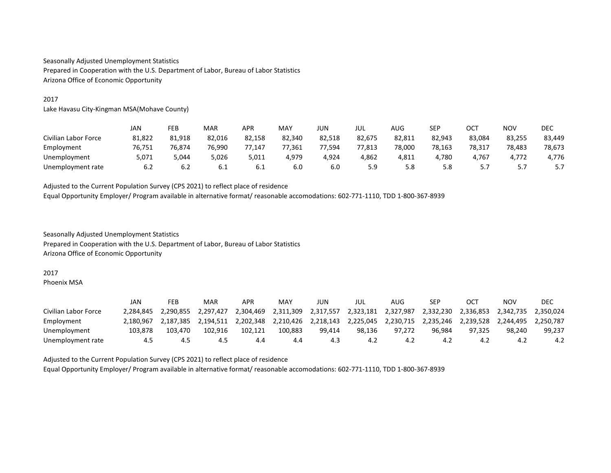## 2017

Lake Havasu City-Kingman MSA(Mohave County)

|                      | JAN    | FEB    | <b>MAR</b> | APR    | MAY    | JUN    | JUL    | AUG    | SEP    | ост      | <b>NOV</b>     | <b>DEC</b> |
|----------------------|--------|--------|------------|--------|--------|--------|--------|--------|--------|----------|----------------|------------|
| Civilian Labor Force | 81,822 | 81.918 | 82,016     | 82.158 | 82.340 | 82.518 | 82.675 | 82,811 | 82,943 | 83.084   | 83.255         | 83,449     |
| Employment           | 76,751 | 76.874 | 76.990     | 77.147 | 77,361 | 77.594 | 77.813 | 78,000 | 78.163 | 78.317   | 78,483         | 78,673     |
| Unemployment         | 5,071  | 5.044  | 5,026      | 5,011  | 4.979  | 4,924  | 4,862  | 4,811  | 4,780  | 4.767    | 4.772          | 4.776      |
| Unemployment rate    | 6.2    | 6.2    | 6.1        | 6.1    | 6.0    | 6.0    | 5.9    | 5.8    | 5.8    | <u>.</u> | 55<br><u>.</u> |            |

Adjusted to the Current Population Survey (CPS 2021) to reflect place of residence Equal Opportunity Employer/ Program available in alternative format/ reasonable accomodations: 602-771-1110, TDD 1-800-367-8939

Seasonally Adjusted Unemployment Statistics Prepared in Cooperation with the U.S. Department of Labor, Bureau of Labor Statistics Arizona Office of Economic Opportunity

#### 2017

Phoenix MSA

|                      | JAN       | FEB       | MAR       | APR       | MAY       | JUN       | jul       | AUG       | SEP       | OC        | NOV       | DEC       |
|----------------------|-----------|-----------|-----------|-----------|-----------|-----------|-----------|-----------|-----------|-----------|-----------|-----------|
| Civilian Labor Force | 2.284.845 | 2.290.855 | 2.297.427 | 2,304,469 | 2.311.309 | 2,317,557 | 2.323.181 | 2.327.987 | 2,332,230 | 2.336.853 | 2.342.735 | 2.350.024 |
| Employment           | 2.180.967 | 2.187.385 | 2.194.511 | 2.202.348 | 2.210.426 | 2.218.143 | 2.225.045 | 2.230.715 | 2.235.246 | 2.239.528 | 2.244.495 | 2.250.787 |
| Unemployment         | 103.878   | 103.470   | 102.916   | 102.121   | 100.883   | 99.414    | 98.136    | 97.272    | 96.984    | 97.325    | 98.240    | 99,237    |
| Unemployment rate    | 4.5       | 4.5       | 4.5       | 4.4       | 4.4       | 4.3       | 4.2       | 4.2       | 4.2       | -4.2      | 4.2       | 4.2       |

Adjusted to the Current Population Survey (CPS 2021) to reflect place of residence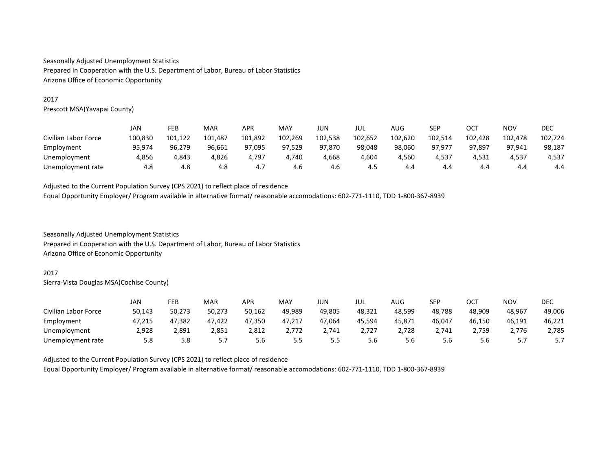## 2017

Prescott MSA(Yavapai County)

|                      | JAN     | FEB     | <b>MAR</b> | APR     | MAY     | JUN     | jul     | AUG     | <b>CED</b><br>ᅴ | OCT     | <b>NOV</b> | DEC     |
|----------------------|---------|---------|------------|---------|---------|---------|---------|---------|-----------------|---------|------------|---------|
| Civilian Labor Force | 100,830 | 101,122 | 101,487    | 101,892 | 102,269 | 102,538 | 102,652 | 102,620 | 102,514         | 102,428 | 102,478    | 102,724 |
| Employment           | 95.974  | 96.279  | 96.661     | 97.095  | 97,529  | 97.870  | 98.048  | 98,060  | 97.977          | 97.897  | 97.941     | 98,187  |
| Unemployment         | 4,856   | 4.843   | 4,826      | 4.797   | 4.740   | 4,668   | 4.604   | 4.560   | 4.537           | 4.531   | 4,537      | 4,537   |
| Unemployment rate    | 4.8     | 4.8     | 4.8        | 4. .    | 4.6     | 4.6     | 4.5     | 4.4     | 4.4             | 4.4     | 4.4        | 4.4     |

Adjusted to the Current Population Survey (CPS 2021) to reflect place of residence Equal Opportunity Employer/ Program available in alternative format/ reasonable accomodations: 602-771-1110, TDD 1-800-367-8939

Seasonally Adjusted Unemployment Statistics Prepared in Cooperation with the U.S. Department of Labor, Bureau of Labor Statistics Arizona Office of Economic Opportunity

## 2017

Sierra-Vista Douglas MSA(Cochise County)

|                      | JAN    | FEB    | MAR    | APR    | MAY    | JUN        | JUL    | AUG    | SEP    | ост    | NOV    | DEC    |
|----------------------|--------|--------|--------|--------|--------|------------|--------|--------|--------|--------|--------|--------|
| Civilian Labor Force | 50,143 | 50,273 | 50,273 | 50,162 | 49,989 | 49,805     | 48.321 | 48,599 | 48,788 | 48,909 | 48,967 | 49,006 |
| Employment           | 47.215 | 47,382 | 47,422 | 47,350 | 47,217 | 47,064     | 45,594 | 45,871 | 46,047 | 46.150 | 46,191 | 46,221 |
| Unemployment         | 2,928  | 2,891  | 2.851  | 2.812  | 2.772  | 2.741      | 2.727  | 2,728  | 2.741  | 2.759  | 2.776  | 2,785  |
| Unemployment rate    | 5.8    | 5.8    | J.,    | 5.6    | 5.5    | י ה<br>- - | 5.6    | 5.6    | 5.6    | 5.6    | 57<br> | J.I    |

Adjusted to the Current Population Survey (CPS 2021) to reflect place of residence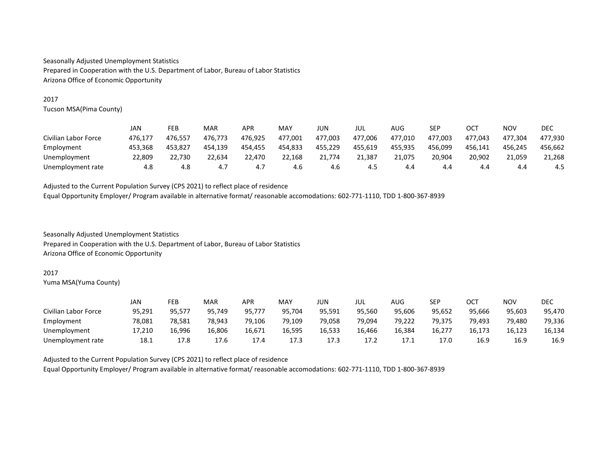## 2017

Tucson MSA(Pima County)

|                      | JAN     | FEB     | MAR     | APR     | MAY     | JUN     | jul     | AUG     | SEP     | OCT     | NOV     | DEC     |
|----------------------|---------|---------|---------|---------|---------|---------|---------|---------|---------|---------|---------|---------|
| Civilian Labor Force | 476.177 | 476.557 | 476.773 | 476.925 | 477,001 | 477,003 | 477.006 | 477,010 | 477.003 | 477.043 | 477.304 | 477,930 |
| Employment           | 453.368 | 453.827 | 454.139 | 454.455 | 454,833 | 455.229 | 455.619 | 455.935 | 456.099 | 456.141 | 456.245 | 456.662 |
| Unemployment         | 22,809  | 22.730  | 22.634  | 22.470  | 22,168  | 21.774  | 21.387  | 21.075  | 20.904  | 20.902  | 21,059  | 21,268  |
| Unemployment rate    | 4.8     | 4.8     | 4.7     | 4. ,    | 4.6     | 4.6     | 4.5     | 4.4     | 4.4     | 4.4     | 4.4     | 4.5     |

Adjusted to the Current Population Survey (CPS 2021) to reflect place of residence Equal Opportunity Employer/ Program available in alternative format/ reasonable accomodations: 602-771-1110, TDD 1-800-367-8939

Seasonally Adjusted Unemployment Statistics Prepared in Cooperation with the U.S. Department of Labor, Bureau of Labor Statistics Arizona Office of Economic Opportunity

#### 2017

Yuma MSA(Yuma County)

|                      | JAN    | FEB    | MAR    | APR    | MAY    | JUN    | JUL    | AUG    | <b>SEP</b> | ост    | <b>NOV</b> | DEC    |
|----------------------|--------|--------|--------|--------|--------|--------|--------|--------|------------|--------|------------|--------|
| Civilian Labor Force | 95,291 | 95,577 | 95.749 | 95.777 | 95.704 | 95,591 | 95.560 | 95,606 | 95.652     | 95.666 | 95,603     | 95,470 |
| Employment           | 78.081 | 78,581 | 78.943 | 79.106 | 79,109 | 79,058 | 79.094 | 79,222 | 79.375     | 79.493 | 79.480     | 79,336 |
| Unemployment         | 17.210 | 16.996 | 16.806 | 16.671 | 16.595 | 16.533 | 16.466 | 16,384 | 16.277     | 16.173 | 16.123     | 16.134 |
| Unemployment rate    | 18.1   | 17.8   | 17.6   | 17.4   | 17.3   | 17.3   | 17.2   | 17.1   | 17.0       | 16.9   | 16.9       | 16.9   |

Adjusted to the Current Population Survey (CPS 2021) to reflect place of residence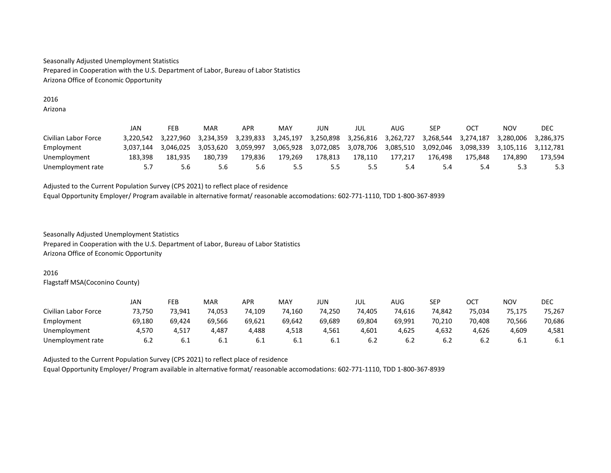#### 2016 Arizona

|                      | JAN       | FEB       | MAR       | APR       | MAY       | JUN       | JUL       | AUG       | SEP       | OC <sub>7</sub> | ΝΟν       | DEC       |
|----------------------|-----------|-----------|-----------|-----------|-----------|-----------|-----------|-----------|-----------|-----------------|-----------|-----------|
| Civilian Labor Force | 3.220.542 | 3.227.960 | 3.234.359 | 3.239.833 | 3,245,197 | 3,250,898 | 3,256,816 | 3.262.727 | 3.268.544 | 3,274,187       | 3.280.006 | 3.286.375 |
| Employment           | 3.037.144 | 3.046.025 | 3.053.620 | 3.059.997 | 3.065.928 | 3,072,085 | 3,078,706 | 3.085.510 | 3.092.046 | 3.098.339       | 3.105.116 | 3.112.781 |
| Unemployment         | 183.398   | 181.935   | 180.739   | 179.836   | 179.269   | 178.813   | 178.110   | 177,217   | 176.498   | 175.848         | 174.890   | 173.594   |
| Unemployment rate    |           | 5.6       | 5.6       | 5.6       | 5.5       | 5.5       | כ.כ       | 5.4       | 5.4       | 5.4             | 5.3       | 5.3       |

Adjusted to the Current Population Survey (CPS 2021) to reflect place of residence Equal Opportunity Employer/ Program available in alternative format/ reasonable accomodations: 602-771-1110, TDD 1-800-367-8939

Seasonally Adjusted Unemployment Statistics Prepared in Cooperation with the U.S. Department of Labor, Bureau of Labor Statistics Arizona Office of Economic Opportunity

## 2016

Flagstaff MSA(Coconino County)

|                      | JAN    | FEB    | <b>MAR</b> | APR    | MAY    | JUN    | JUL    | AUG    | <b>SEP</b> | ост    | NOV    | DEC    |
|----------------------|--------|--------|------------|--------|--------|--------|--------|--------|------------|--------|--------|--------|
| Civilian Labor Force | 73.750 | 73.941 | 74.053     | 74.109 | 74,160 | 74.250 | 74.405 | 74.616 | 74,842     | 75.034 | 75.175 | 75,267 |
| Employment           | 69,180 | 69,424 | 69.566     | 69,621 | 69,642 | 69,689 | 69,804 | 69,991 | 70,210     | 70.408 | 70,566 | 70,686 |
| Unemployment         | 4.570  | 4.517  | 4,487      | 4,488  | 4,518  | 4,561  | 4,601  | 4,625  | 4,632      | 4,626  | 4,609  | 4,581  |
| Unemployment rate    | 6.2    | 6.1    | 6.1        | 6.1    | 6.1    | 6.1    | b.2    | 6.2    | b.Z        | 6.2    | b. 1   | 6.1    |

Adjusted to the Current Population Survey (CPS 2021) to reflect place of residence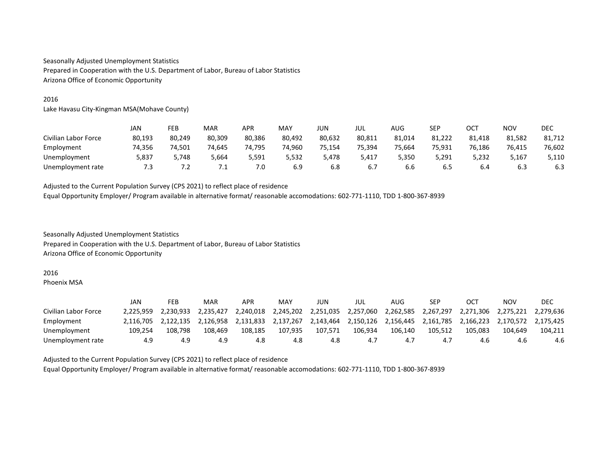# 2016

Lake Havasu City-Kingman MSA(Mohave County)

|                      | JAN    | FEB    | <b>MAR</b> | <b>APR</b> | MAY    | JUN    | JUL    | AUG    | <b>CED</b><br>ᅴ | OCT    | <b>NOV</b> | DEC    |
|----------------------|--------|--------|------------|------------|--------|--------|--------|--------|-----------------|--------|------------|--------|
| Civilian Labor Force | 80,193 | 80,249 | 80,309     | 80,386     | 80,492 | 80,632 | 80,811 | 81,014 | 81.222          | 81,418 | 81,582     | 81,712 |
| Employment           | 74.356 | 74,501 | 74.645     | 74,795     | 74,960 | 75.154 | 75.394 | 75,664 | 75.931          | 76,186 | 76.415     | 76,602 |
| Unemployment         | 5,837  | 5.748  | 5,664      | 5.591      | 5,532  | 5.478  | 5,417  | 5,350  | 5.291           | 5,232  | 5.167      | 5,110  |
| Unemployment rate    | 7.3    | 7.2    | .          | 7.0        | 6.9    | 6.8    | 6.7    | 6.6    | 6.5             | 6.4    | 6.3        | 6.3    |

Adjusted to the Current Population Survey (CPS 2021) to reflect place of residence Equal Opportunity Employer/ Program available in alternative format/ reasonable accomodations: 602-771-1110, TDD 1-800-367-8939

Seasonally Adjusted Unemployment Statistics Prepared in Cooperation with the U.S. Department of Labor, Bureau of Labor Statistics Arizona Office of Economic Opportunity

#### 2016

Phoenix MSA

|                      | JAN       | FEB       | MAR       | APR       | MAY       | JUN       | JUL       | AUG       | SEP       | OC        | NOV       | DEC       |
|----------------------|-----------|-----------|-----------|-----------|-----------|-----------|-----------|-----------|-----------|-----------|-----------|-----------|
| Civilian Labor Force | 2.225.959 | 2.230.933 | 2.235.427 | 2.240.018 | 2.245.202 | 2.251.035 | 2.257.060 | 2.262.585 | 2.267.297 | 2.271.306 | 2.275.221 | 2.279.636 |
| Employment           | 2.116.705 | 2.122.135 | 2.126.958 | 2.131.833 | 2.137.267 | 2.143.464 | 2.150.126 | 2.156.445 | 2.161.785 | 2.166.223 | 2.170.572 | 2.175.425 |
| Unemployment         | 109.254   | 108.798   | 108.469   | 108.185   | 107,935   | 107.571   | 106.934   | 106.140   | 105.512   | 105.083   | 104.649   | 104.211   |
| Unemployment rate    | 4.9       | 4.9       | 4.9       | 4.8       | 4.8       | 4.8       | 4.,       | 4.7       | 4.7       | 4.b       | 4.6       | 4.6       |

Adjusted to the Current Population Survey (CPS 2021) to reflect place of residence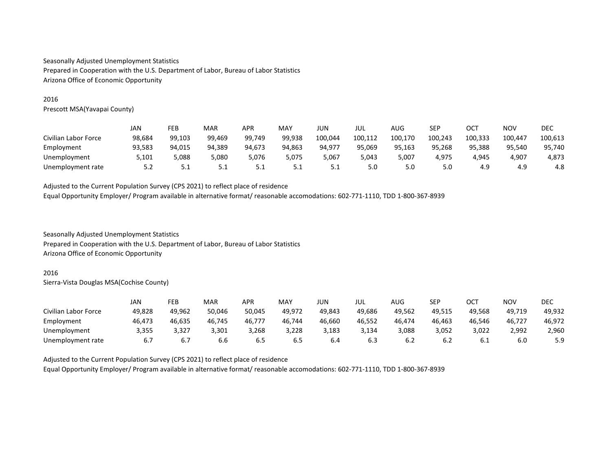## 2016

Prescott MSA(Yavapai County)

|                      | JAN    | FEB    | <b>MAR</b> | APR    | MAY    | JUN     | JUL     | AUG     | <b>SEP</b> | ост     | NOV     | DEC     |
|----------------------|--------|--------|------------|--------|--------|---------|---------|---------|------------|---------|---------|---------|
| Civilian Labor Force | 98,684 | 99,103 | 99,469     | 99.749 | 99,938 | 100,044 | 100,112 | 100,170 | 100,243    | 100,333 | 100.447 | 100,613 |
| Employment           | 93.583 | 94,015 | 94.389     | 94.673 | 94,863 | 94.977  | 95.069  | 95,163  | 95.268     | 95.388  | 95.540  | 95,740  |
| Unemployment         | 5,101  | 5,088  | 5,080      | 5,076  | 5.075  | 5.067   | 5.043   | 5,007   | 4.975      | 4.945   | 4,907   | 4,873   |
| Unemployment rate    | 5.Z    | 5.1    | ـ . ـ      | 5.1    | ـ . ـ  | ۔ ت     | 5.0     | 5.0     | 5.0        | 4.9     | 4.9     | 4.8     |

Adjusted to the Current Population Survey (CPS 2021) to reflect place of residence Equal Opportunity Employer/ Program available in alternative format/ reasonable accomodations: 602-771-1110, TDD 1-800-367-8939

Seasonally Adjusted Unemployment Statistics Prepared in Cooperation with the U.S. Department of Labor, Bureau of Labor Statistics Arizona Office of Economic Opportunity

#### 2016

Sierra-Vista Douglas MSA(Cochise County)

|                      | JAN    | FEB    | MAR    | APR    | MAY    | JUN    | jul    | AUG    | SEP    | ост    | <b>NOV</b> | <b>DEC</b> |
|----------------------|--------|--------|--------|--------|--------|--------|--------|--------|--------|--------|------------|------------|
| Civilian Labor Force | 49,828 | 49,962 | 50,046 | 50,045 | 49,972 | 49,843 | 49.686 | 49,562 | 49,515 | 49.568 | 49,719     | 49,932     |
| Employment           | 46.473 | 46,635 | 46,745 | 46,777 | 46.744 | 46.660 | 46.552 | 46.474 | 46,463 | 46.546 | 46.727     | 46,972     |
| Unemployment         | 3,355  | 3.327  | 3.301  | 3.268  | 3,228  | 3.183  | 3.134  | 3,088  | 3,052  | 3.022  | 2,992      | 2,960      |
| Unemployment rate    | 6.7    | 6.7    | 6.6    | ხ.5    | 6.5    | 6.4    | 6.3    | 6.2    | b.2    | 6.1    | 6.0        | 5.9        |

Adjusted to the Current Population Survey (CPS 2021) to reflect place of residence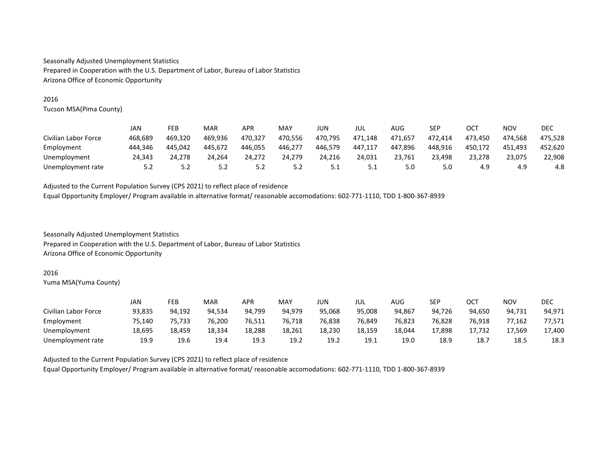## 2016

Tucson MSA(Pima County)

|                      | JAN     | FEB     | MAR     | APR     | MAY     | JUN     | jul     | AUG     | SEP     | OCT     | NOV     | DEC     |
|----------------------|---------|---------|---------|---------|---------|---------|---------|---------|---------|---------|---------|---------|
| Civilian Labor Force | 468.689 | 469,320 | 469.936 | 470.327 | 470,556 | 470.795 | 471.148 | 471,657 | 472.414 | 473.450 | 474.568 | 475.528 |
| Employment           | 444.346 | 445.042 | 445.672 | 446.055 | 446,277 | 446.579 | 447.117 | 447,896 | 448.916 | 450.172 | 451.493 | 452.620 |
| Unemployment         | 24.343  | 24.278  | 24.264  | 24,272  | 24,279  | 24,216  | 24,031  | 23,761  | 23,498  | 23,278  | 23,075  | 22,908  |
| Unemployment rate    | 5.2     | 5.2     | 5.2     | 5.2     | 5.2     | 5.1     | ـ       | 5.0     | 5.0     | 4.9     | 4.9     | 4.8     |

Adjusted to the Current Population Survey (CPS 2021) to reflect place of residence Equal Opportunity Employer/ Program available in alternative format/ reasonable accomodations: 602-771-1110, TDD 1-800-367-8939

Seasonally Adjusted Unemployment Statistics Prepared in Cooperation with the U.S. Department of Labor, Bureau of Labor Statistics Arizona Office of Economic Opportunity

#### 2016

Yuma MSA(Yuma County)

|                      | JAN    | FEB    | MAR    | APR    | MAY    | JUN    | jul    | AUG    | <b>SEP</b> | OCT    | NOV    | DEC    |
|----------------------|--------|--------|--------|--------|--------|--------|--------|--------|------------|--------|--------|--------|
| Civilian Labor Force | 93.835 | 94.192 | 94.534 | 94.799 | 94.979 | 95.068 | 95.008 | 94.867 | 94.726     | 94.650 | 94.731 | 94,971 |
| Employment           | 75.140 | 75,733 | 76,200 | 76,511 | 76,718 | 76,838 | 76.849 | 76,823 | 76.828     | 76.918 | 77,162 | 77,571 |
| Unemployment         | 18,695 | 18.459 | 18.334 | 18.288 | 18,261 | 18.230 | 18.159 | 18.044 | 17,898     | 17.732 | 17,569 | 17,400 |
| Unemployment rate    | 19.9   | 19.6   | 19.4   | 19.3   | 19.2   | 19.2   | 19.1   | 19.0   | 18.9       | 18.7   | 18.5   | 18.3   |

Adjusted to the Current Population Survey (CPS 2021) to reflect place of residence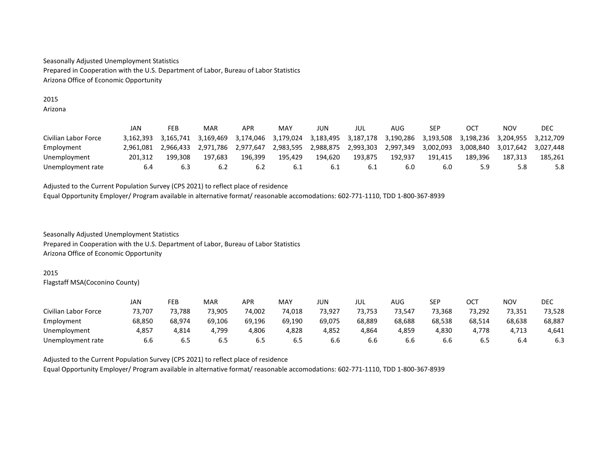#### 2015 Arizona

|                      | JAN       | FEB       | MAR       | APR       | MAY       | JUN       | jul       | AUG       | SEP       | OC        | NOV       | DEC       |
|----------------------|-----------|-----------|-----------|-----------|-----------|-----------|-----------|-----------|-----------|-----------|-----------|-----------|
| Civilian Labor Force | 3.162.393 | 3.165.741 | 3.169.469 | 3,174,046 | 3.179.024 | 3,183,495 | 3,187,178 | 3.190.286 | 3,193,508 | 3.198.236 | 3.204.955 | 3.212.709 |
| Employment           | 2.961.081 | 2.966.433 | 2.971.786 | 2.977.647 | 2.983.595 | 2,988,875 | 2,993,303 | 2.997.349 | 3.002.093 | 3.008.840 | 3.017.642 | 3.027.448 |
| Unemployment         | 201.312   | 199.308   | 197.683   | 196.399   | 195,429   | 194.620   | 193.875   | 192,937   | 191.415   | 189.396   | 187.313   | 185.261   |
| Unemployment rate    | 6.4       | 6.3       | 6.2       | 6.2       | 6.1       | . 6. L    | 6.1       | 6.C       | 6.0       | 5.9       | 5.8       | 5.8       |

Adjusted to the Current Population Survey (CPS 2021) to reflect place of residence Equal Opportunity Employer/ Program available in alternative format/ reasonable accomodations: 602-771-1110, TDD 1-800-367-8939

Seasonally Adjusted Unemployment Statistics Prepared in Cooperation with the U.S. Department of Labor, Bureau of Labor Statistics Arizona Office of Economic Opportunity

## 2015

Flagstaff MSA(Coconino County)

|                      | JAN    | FEB    | <b>MAR</b> | APR    | MAY    | JUN    | JUL    | AUG    | <b>SEP</b> | ост    | NOV    | DEC    |
|----------------------|--------|--------|------------|--------|--------|--------|--------|--------|------------|--------|--------|--------|
| Civilian Labor Force | 73.707 | 73.788 | 73.905     | 74.002 | 74,018 | 73.927 | 73.753 | 73.547 | 73.368     | 73.292 | 73,351 | 73.528 |
| Employment           | 68,850 | 68.974 | 69.106     | 69.196 | 69,190 | 69,075 | 68.889 | 68,688 | 68,538     | 68,514 | 68,638 | 68,887 |
| Unemployment         | 4,857  | 4.814  | 4.799      | 4.806  | 4,828  | 4,852  | 4,864  | 4,859  | 4,830      | 4.778  | 4,713  | 4,641  |
| Unemployment rate    | 6.6    | 6.5    | 6.5        | 6.5    | 6.5    | 6.b    | 6.6    | 6.6    | 6.6        | 6.5    | 6.4    | 6.3    |

Adjusted to the Current Population Survey (CPS 2021) to reflect place of residence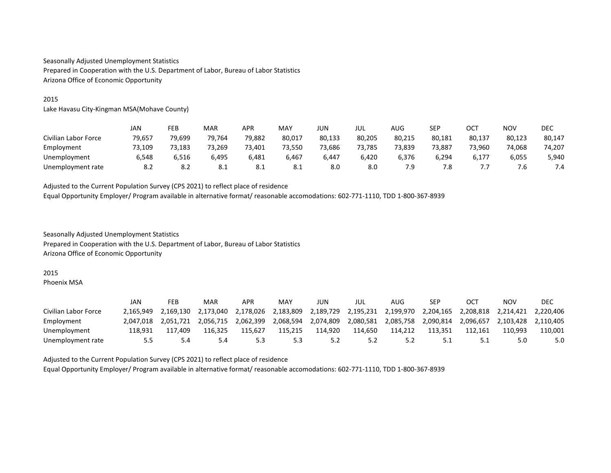## 2015

Lake Havasu City-Kingman MSA(Mohave County)

|                      | JAN    | FEB    | <b>MAR</b> | APR    | MAY    | JUN    | JUL    | AUG    | <b>SEP</b> | ост    | NOV    | DEC    |
|----------------------|--------|--------|------------|--------|--------|--------|--------|--------|------------|--------|--------|--------|
| Civilian Labor Force | 79,657 | 79,699 | 79.764     | 79,882 | 80,017 | 80,133 | 80,205 | 80,215 | 80,181     | 80,137 | 80,123 | 80,147 |
| Employment           | 73,109 | 73,183 | 73.269     | 73.401 | 73,550 | 73,686 | 73.785 | 73,839 | 73.887     | 73.960 | 74,068 | 74,207 |
| Unemployment         | 6,548  | 6.516  | 6.495      | 6.481  | 6.467  | 6.447  | 6.420  | 6.376  | 6.294      | 6,177  | 6,055  | 5,940  |
| Unemployment rate    | 8.2    | 8.2    | -8.1       | 8.1    | 8.1    | 8.0    | 8.0    | 7.9    | 7.8        | ,,,    | 7.b    | 7.4    |

Adjusted to the Current Population Survey (CPS 2021) to reflect place of residence Equal Opportunity Employer/ Program available in alternative format/ reasonable accomodations: 602-771-1110, TDD 1-800-367-8939

Seasonally Adjusted Unemployment Statistics Prepared in Cooperation with the U.S. Department of Labor, Bureau of Labor Statistics Arizona Office of Economic Opportunity

#### 2015

Phoenix MSA

|                      | JAN       | FEB       | MAR       | APR       | MAY       | JUN       | jul       | AUG       | SEP       | OCT       | NOV       | DEC       |
|----------------------|-----------|-----------|-----------|-----------|-----------|-----------|-----------|-----------|-----------|-----------|-----------|-----------|
| Civilian Labor Force | 2.165.949 | 2.169.130 | 2.173.040 | 2.178.026 | 2.183.809 | 2.189.729 | 2.195.231 | 2.199.970 | 2.204.165 | 2.208.818 | 2.214.421 | 2.220.406 |
| Employment           | 2.047.018 | 2.051.721 | 2.056.715 | 2.062.399 | 2.068.594 | 2,074,809 | 2,080,581 | 2.085.758 | 2.090.814 | 2.096.657 | 2.103.428 | 2.110.405 |
| Unemployment         | 118.931   | 117.409   | 116.325   | 115.627   | 115,215   | 114.920   | 114.650   | 114.212   | 113.351   | 112.161   | 110.993   | 110.001   |
| Unemployment rate    |           | 5.4       | 5.4       | 5.3       | 5.3       | ے . د     |           | 5.2       |           |           | 5.0       | 5.0       |

Adjusted to the Current Population Survey (CPS 2021) to reflect place of residence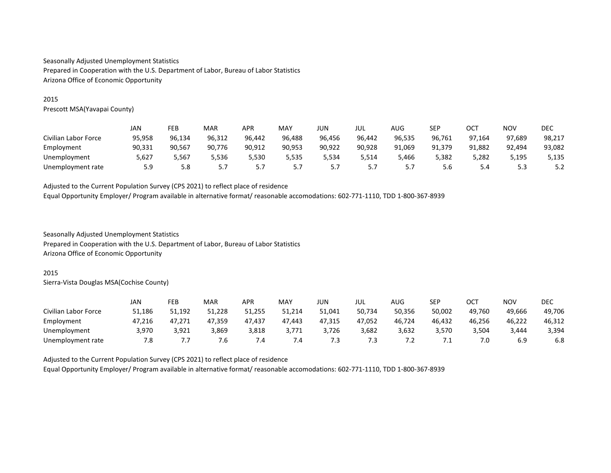## 2015

Prescott MSA(Yavapai County)

|                      | JAN    | FEB    | <b>MAR</b> | <b>APR</b> | MAY      | JUN        | JUL      | AUG            | <b>CED</b><br>ᅴ | ост    | <b>NOV</b> | DEC    |
|----------------------|--------|--------|------------|------------|----------|------------|----------|----------------|-----------------|--------|------------|--------|
| Civilian Labor Force | 95,958 | 96,134 | 96,312     | 96.442     | 96,488   | 96,456     | 96,442   | 96,535         | 96,761          | 97,164 | 97,689     | 98,217 |
| Employment           | 90,331 | 90,567 | 90.776     | 90.912     | 90,953   | 90.922     | 90.928   | 91,069         | 91.379          | 91,882 | 92,494     | 93,082 |
| Unemployment         | 5,627  | 5,567  | 5.536      | 5.530      | 5,535    | 5,534      | 5,514    | 5,466          | 5,382           | 5,282  | 5.195      | 5,135  |
| Unemployment rate    | 5.9    | 5.8    | <u>.,,</u> | .          | <u>.</u> | <u>.,,</u> | <u>.</u> | ∽.<br><u>.</u> | 5.6             | 5.4    | 5.3        | 5.2    |

Adjusted to the Current Population Survey (CPS 2021) to reflect place of residence Equal Opportunity Employer/ Program available in alternative format/ reasonable accomodations: 602-771-1110, TDD 1-800-367-8939

Seasonally Adjusted Unemployment Statistics Prepared in Cooperation with the U.S. Department of Labor, Bureau of Labor Statistics Arizona Office of Economic Opportunity

#### 2015

Sierra-Vista Douglas MSA(Cochise County)

|                      | JAN    | FEB    | <b>MAR</b> | APR    | MAY    | JUN    | jul    | AUG    | <b>SEP</b>   | ост    | <b>NOV</b> | <b>DEC</b> |
|----------------------|--------|--------|------------|--------|--------|--------|--------|--------|--------------|--------|------------|------------|
| Civilian Labor Force | 51,186 | 51,192 | 51,228     | 51,255 | 51,214 | 51,041 | 50,734 | 50,356 | 50,002       | 49.760 | 49,666     | 49,706     |
| Employment           | 47.216 | 47,271 | 47,359     | 47.437 | 47.443 | 47,315 | 47,052 | 46,724 | 46,432       | 46.256 | 46,222     | 46,312     |
| Unemployment         | 3,970  | 3.921  | 3,869      | 3,818  | 3.771  | 3.726  | 3.682  | 3,632  | 3,570        | .504   | 3.444      | 3,394      |
| Unemployment rate    | 7.8    |        | 7.b        | . .4   | 7.4    | 7.3    | 5./    | ے ،    | , <u>, ,</u> | 7.0    | 6.9        | 6.8        |

Adjusted to the Current Population Survey (CPS 2021) to reflect place of residence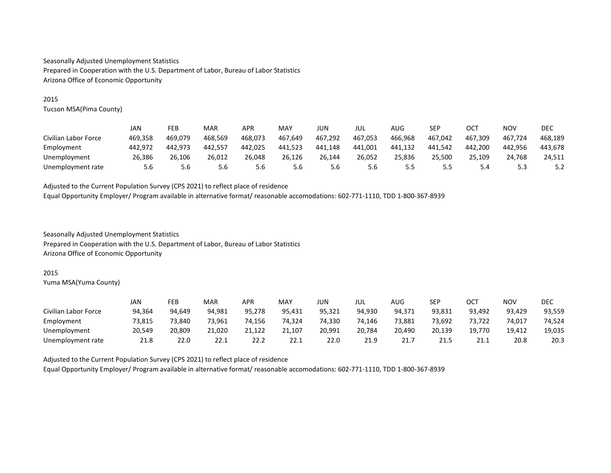## 2015

Tucson MSA(Pima County)

|                      | JAN     | FEB     | MAR     | APR     | MAY     | JUN     | JUL     | AUG     | <b>SEP</b> | ост     | NOV         | DEC     |
|----------------------|---------|---------|---------|---------|---------|---------|---------|---------|------------|---------|-------------|---------|
| Civilian Labor Force | 469,358 | 469.079 | 468.569 | 468.073 | 467,649 | 467,292 | 467,053 | 466,968 | 467,042    | 467.309 | 467,724     | 468,189 |
| Employment           | 442.972 | 442.973 | 442.557 | 442.025 | 441,523 | 441.148 | 441.001 | 441,132 | 441.542    | 442.200 | 442.956     | 443.678 |
| Unemployment         | 26.386  | 26.106  | 26.012  | 26.048  | 26.126  | 26.144  | 26.052  | 25,836  | 25.500     | 25.109  | 24.768      | 24.511  |
| Unemployment rate    | 5.6     | 5.6     | 5.6     | 5.6     | 5.6     | 5.6     | 5.6     | 5.5     | כ.כ        | 5.4     | ∽.<br>ں ، ب | 5.2     |

Adjusted to the Current Population Survey (CPS 2021) to reflect place of residence Equal Opportunity Employer/ Program available in alternative format/ reasonable accomodations: 602-771-1110, TDD 1-800-367-8939

Seasonally Adjusted Unemployment Statistics Prepared in Cooperation with the U.S. Department of Labor, Bureau of Labor Statistics Arizona Office of Economic Opportunity

#### 2015

Yuma MSA(Yuma County)

|                      | JAN    | FEB    | MAR    | APR    | MAY    | JUN    | jul    | AUG    | <b>SEP</b> | OCT    | NOV    | DEC    |
|----------------------|--------|--------|--------|--------|--------|--------|--------|--------|------------|--------|--------|--------|
| Civilian Labor Force | 94.364 | 94.649 | 94.981 | 95.278 | 95.431 | 95.321 | 94.930 | 94.371 | 93.831     | 93,492 | 93.429 | 93,559 |
| Employment           | 73,815 | 73.840 | 73.961 | 74.156 | 74,324 | 74,330 | 74.146 | 73,881 | 73,692     | 73,722 | 74,017 | 74,524 |
| Unemployment         | 20.549 | 20,809 | 21,020 | 21.122 | 21,107 | 20,991 | 20.784 | 20,490 | 20.139     | 19.770 | 19.412 | 19,035 |
| Unemployment rate    | 21.8   | 22.0   | 22.1   | 22.2   | 22.1   | 22.0   | 21.9   | 21.7   | 21.5       | 21.1   | 20.8   | 20.3   |

Adjusted to the Current Population Survey (CPS 2021) to reflect place of residence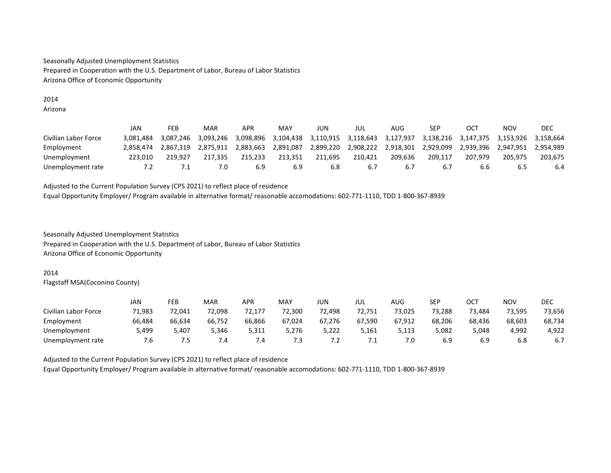#### 2014 Arizona

|                      | JAN       | FEB       | MAR       | <b>APR</b> | MAY       | JUN       | JUL       | AUG       | SEP         | OC <sub>7</sub> | NOV       | DEC       |
|----------------------|-----------|-----------|-----------|------------|-----------|-----------|-----------|-----------|-------------|-----------------|-----------|-----------|
| Civilian Labor Force | 3.081.484 | 3.087.246 | 3.093.246 | 3.098.896  | 3.104.438 | 3.110.915 | 3,118,643 | 3.127.937 | 3.138.216   | 3.147.375       | 3.153.926 | 3.158.664 |
| Employment           | 2.858.474 | 2.867.319 | 2.875.911 | 2.883.663  | 2,891,087 | 2.899.220 | 2,908,222 | 2.918.301 | 2.929.099   | 2.939.396       | 2.947.951 | 2.954.989 |
| Unemployment         | 223.010   | 219.927   | 217.335   | 215.233    | 213.351   | 211.695   | 210.421   | 209.636   | 209.117     | 207.979         | 205.975   | 203.675   |
| Unemployment rate    | 7.2       |           |           | 6.9        | 6.9       | 6.8       | 6.7       | 6.7       | $b_{\cdot}$ | b.b             | 6.5       | 6.4       |

Adjusted to the Current Population Survey (CPS 2021) to reflect place of residence Equal Opportunity Employer/ Program available in alternative format/ reasonable accomodations: 602-771-1110, TDD 1-800-367-8939

Seasonally Adjusted Unemployment Statistics Prepared in Cooperation with the U.S. Department of Labor, Bureau of Labor Statistics Arizona Office of Economic Opportunity

## 2014

Flagstaff MSA(Coconino County)

|                      | JAN    | FEB    | <b>MAR</b> | APR    | MAY    | JUN    | JUL    | AUG    | <b>SEP</b> | ост    | NOV    | DEC    |
|----------------------|--------|--------|------------|--------|--------|--------|--------|--------|------------|--------|--------|--------|
| Civilian Labor Force | 71.983 | 72.041 | 72.098     | 72.177 | 72,300 | 72.498 | 72.751 | 73.025 | 73.288     | 73.484 | 73.595 | 73,656 |
| Employment           | 66,484 | 66,634 | 66,752     | 66.866 | 67,024 | 67,276 | 67,590 | 67,912 | 68,206     | 68,436 | 68,603 | 68,734 |
| Unemployment         | 5,499  | 5,407  | 5.346      | 5,311  | 5,276  | 5,222  | 5.161  | 5,113  | 5,082      | 5,048  | 4,992  | 4,922  |
| Unemployment rate    | 7.6    | ∕ .5   | 7.4        | . . 4  | 7.3    | 7.2    | .      | 7.0    | 6.9        | 6.9    | 6.8    | 6.7    |

Adjusted to the Current Population Survey (CPS 2021) to reflect place of residence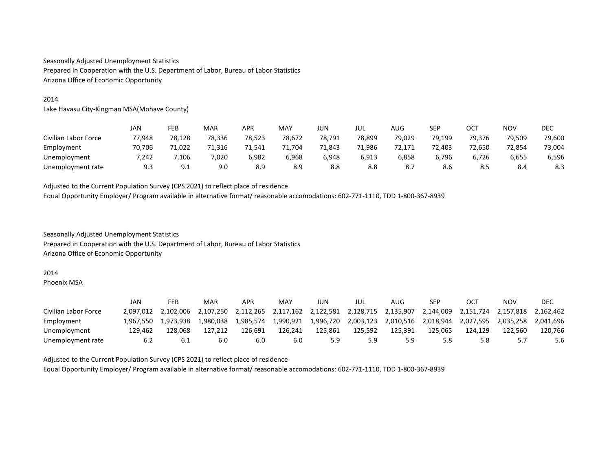## 2014

Lake Havasu City-Kingman MSA(Mohave County)

|                      | JAN    | FEB    | MAR    | APR    | MAY    | JUN    | JUL    | AUG    | <b>SEP</b> | ост    | NOV    | DEC    |
|----------------------|--------|--------|--------|--------|--------|--------|--------|--------|------------|--------|--------|--------|
| Civilian Labor Force | 77,948 | 78,128 | 78,336 | 78,523 | 78,672 | 78.791 | 78.899 | 79,029 | 79,199     | 79.376 | 79,509 | 79,600 |
| Employment           | 70.706 | 71,022 | 71.316 | 71.541 | 71,704 | 71.843 | 71.986 | 72,171 | 72,403     | 72.650 | 72,854 | 73,004 |
| Unemployment         | 7.242  | 7,106  | 7,020  | 6,982  | 968,ز  | 6.948  | 6,913  | 6,858  | 6,796      | 6.726  | 6,655  | 6,596  |
| Unemployment rate    | 9.3    | 9.1    | 9.0    | 8.9    | 8.9    | 8.8    | 8.8    | 8.7    | 8.6        | 8.5    | 8.4    | 8.3    |

Adjusted to the Current Population Survey (CPS 2021) to reflect place of residence Equal Opportunity Employer/ Program available in alternative format/ reasonable accomodations: 602-771-1110, TDD 1-800-367-8939

Seasonally Adjusted Unemployment Statistics Prepared in Cooperation with the U.S. Department of Labor, Bureau of Labor Statistics Arizona Office of Economic Opportunity

#### 2014

Phoenix MSA

|                      | JAN       | FEB       | MAR       | APR       | MAY       | JUN       | jul       | AUG       | SEP       | OCT       | NOV       | DEC       |
|----------------------|-----------|-----------|-----------|-----------|-----------|-----------|-----------|-----------|-----------|-----------|-----------|-----------|
| Civilian Labor Force | 2.097.012 | 2.102.006 | 2.107.250 | 2.112.265 | 2.117.162 | 2,122,581 | 2.128.715 | 2.135.907 | 2,144,009 | 2.151.724 | 2.157.818 | 2.162.462 |
| Employment           | 1.967.550 | 1.973.938 | 1.980.038 | 1.985.574 | 1.990.921 | 1,996,720 | 2.003.123 | 2.010.516 | 2.018.944 | 2.027.595 | 2.035.258 | 2.041.696 |
| Unemployment         | 129.462   | 128.068   | 127.212   | 126.691   | 126.241   | 125.861   | 125.592   | 125.391   | 125.065   | 124.129   | 122.560   | 120.766   |
| Unemployment rate    | 6.2       | -6.1      | 6.0       | 6.0       | 6.0       | 5.9       | 5.9       | 5.9       | 5.8       | 5.8       | 5.7       | 5.6       |

Adjusted to the Current Population Survey (CPS 2021) to reflect place of residence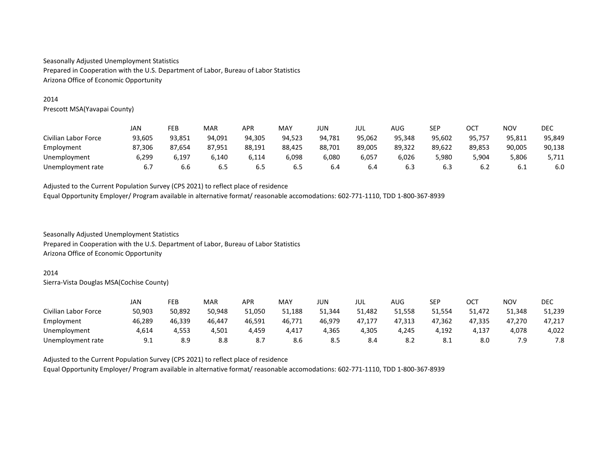## 2014

Prescott MSA(Yavapai County)

|                      | JAN    | FEB    | <b>MAR</b> | APR    | MAY    | JUN    | JUL    | AUG    | <b>SEP</b> | ост    | NOV    | DEC    |
|----------------------|--------|--------|------------|--------|--------|--------|--------|--------|------------|--------|--------|--------|
| Civilian Labor Force | 93,605 | 93,851 | 94,091     | 94.305 | 94,523 | 94.781 | 95,062 | 95,348 | 95,602     | 95,757 | 95,811 | 95,849 |
| Employment           | 87.306 | 87.654 | 87.951     | 88.191 | 88,425 | 88,701 | 89.005 | 89.322 | 89.622     | 89.853 | 90,005 | 90,138 |
| Unemployment         | 6,299  | 6.197  | 6.140      | 6.114  | 6,098  | 6,080  | 6,057  | 6,026  | 5,980      | 5,904  | 5,806  | 5,711  |
| Unemployment rate    | 6.7    | 6.6    | 6.5        | 6.5    | 6.S    | 6.4    | 6.4    | 6.3    | 6.3        | 6.2    | 6.1    | 6.0    |

Adjusted to the Current Population Survey (CPS 2021) to reflect place of residence Equal Opportunity Employer/ Program available in alternative format/ reasonable accomodations: 602-771-1110, TDD 1-800-367-8939

Seasonally Adjusted Unemployment Statistics Prepared in Cooperation with the U.S. Department of Labor, Bureau of Labor Statistics Arizona Office of Economic Opportunity

#### 2014

Sierra-Vista Douglas MSA(Cochise County)

|                      | JAN    | FEB    | MAR    | APR    | MAY    | JUN    | jul    | AUG    | SEP    | ост    | NOV    | DEC    |
|----------------------|--------|--------|--------|--------|--------|--------|--------|--------|--------|--------|--------|--------|
| Civilian Labor Force | 50,903 | 50,892 | 50,948 | 51,050 | 51,188 | 51,344 | 51,482 | 51,558 | 51,554 | 51,472 | 51,348 | 51,239 |
| Employment           | 46,289 | 46,339 | 46,447 | 46.591 | 46,771 | 46,979 | 47.177 | 47,313 | 47.362 | 47.335 | 47,270 | 47.217 |
| Unemployment         | 4.614  | 4.553  | 4.501  | 4,459  | 4,417  | 4,365  | 4.305  | 4.245  | 4.192  | 4.137  | 4,078  | 4,022  |
| Unemployment rate    | 9.1    | 8.9    | 8.8    | 8.7    | 8.6    | 8.5    | 8.4    | 8.2    | 8.1    | 8.0    | 7.9    | 7.8    |

Adjusted to the Current Population Survey (CPS 2021) to reflect place of residence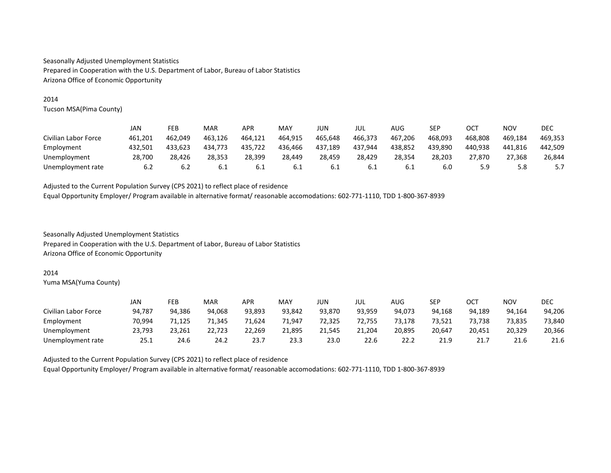## 2014

Tucson MSA(Pima County)

|                      | JAN     | FEB     | MAR     | APR     | MAY     | JUN     | jul     | AUG     | <b>SEP</b> | <b>OCT</b> | <b>NOV</b> | <b>DEC</b> |
|----------------------|---------|---------|---------|---------|---------|---------|---------|---------|------------|------------|------------|------------|
| Civilian Labor Force | 461.201 | 462.049 | 463.126 | 464.121 | 464.915 | 465.648 | 466.373 | 467.206 | 468.093    | 468.808    | 469.184    | 469.353    |
| Employment           | 432.501 | 433.623 | 434.773 | 435.722 | 436.466 | 437.189 | 437.944 | 438,852 | 439.890    | 440.938    | 441.816    | 442.509    |
| Unemployment         | 28,700  | 28.426  | 28.353  | 28.399  | 28,449  | 28,459  | 28,429  | 28,354  | 28,203     | 27.870     | 27,368     | 26,844     |
| Unemployment rate    | 6.2     | 6.2     | -6.⊥    | 6.1     | 6.1     | 0.L     | 6.1     | 6.1     | 6.0        | 5.9        | 5.8        | 5.7        |

Adjusted to the Current Population Survey (CPS 2021) to reflect place of residence Equal Opportunity Employer/ Program available in alternative format/ reasonable accomodations: 602-771-1110, TDD 1-800-367-8939

Seasonally Adjusted Unemployment Statistics Prepared in Cooperation with the U.S. Department of Labor, Bureau of Labor Statistics Arizona Office of Economic Opportunity

#### 2014

Yuma MSA(Yuma County)

|                      | JAN    | FEB    | MAR    | APR    | MAY    | JUN    | JUL    | AUG    | SEP    | OCT    | <b>NOV</b> | DEC    |
|----------------------|--------|--------|--------|--------|--------|--------|--------|--------|--------|--------|------------|--------|
| Civilian Labor Force | 94.787 | 94.386 | 94.068 | 93.893 | 93.842 | 93.870 | 93.959 | 94.073 | 94.168 | 94.189 | 94.164     | 94,206 |
| Employment           | 70.994 | 71,125 | 71,345 | 71.624 | 1,947  | 72,325 | 72.755 | 73,178 | 73,521 | 73.738 | 73,835     | 73,840 |
| Unemployment         | 23,793 | 23,261 | 22,723 | 22.269 | 21,895 | 21.545 | 21.204 | 20,895 | 20.647 | 20.451 | 20,329     | 20,366 |
| Unemployment rate    | 25.1   | 24.6   | 24.2   | 23.    | 23.3   | 23.0   | 22.6   | 22.2   | 21.9   | 21.7   | 21.6       | 21.6   |

Adjusted to the Current Population Survey (CPS 2021) to reflect place of residence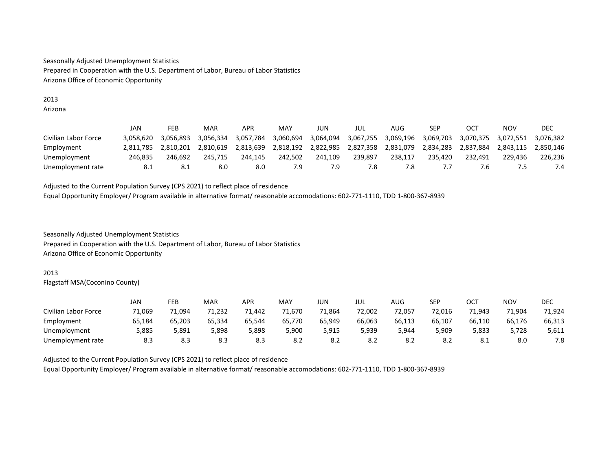## 2013 Arizona

|                      | JAN       | FEB       | MAR       | APR       | MAY       | JUN       | JUL       | AUG       | SEP       | OCT       | ΝΟν       | DEC       |
|----------------------|-----------|-----------|-----------|-----------|-----------|-----------|-----------|-----------|-----------|-----------|-----------|-----------|
| Civilian Labor Force | 3.058.620 | 3.056.893 | 3.056.334 | 3,057,784 | 3.060.694 | 3,064,094 | 3,067,255 | 3,069,196 | 3,069,703 | 3,070,375 | 3.072.551 | 3.076.382 |
| Employment           | 2.811.785 | 2.810.201 | 2.810.619 | 2.813.639 | 2,818,192 | 2.822.985 | 2,827,358 | 2.831.079 | 2.834.283 | 2.837.884 | 2.843.115 | 2.850.146 |
| Unemployment         | 246.835   | 246.692   | 245.715   | 244.145   | 242.502   | 241.109   | 239.897   | 238.117   | 235.420   | 232.491   | 229.436   | 226.236   |
| Unemployment rate    | 8.1       | 8.1       | 8.0       | 8.0       | 7.9       |           | 7.8       | '.8       |           |           |           | 7.4       |

Adjusted to the Current Population Survey (CPS 2021) to reflect place of residence Equal Opportunity Employer/ Program available in alternative format/ reasonable accomodations: 602-771-1110, TDD 1-800-367-8939

Seasonally Adjusted Unemployment Statistics Prepared in Cooperation with the U.S. Department of Labor, Bureau of Labor Statistics Arizona Office of Economic Opportunity

## 2013

Flagstaff MSA(Coconino County)

|                      | JAN    | FEB    | <b>MAR</b> | APR    | MAY    | JUN    | JUL    | AUG    | <b>SEP</b> | ост    | NOV    | DEC    |
|----------------------|--------|--------|------------|--------|--------|--------|--------|--------|------------|--------|--------|--------|
| Civilian Labor Force | 71.069 | 1,094/ | 71.232     | 71.442 | 71.670 | 71.864 | 72.002 | 72.057 | 72.016     | 71.943 | 71,904 | 71.924 |
| Employment           | 65,184 | 65.203 | 65.334     | 65.544 | 65.770 | 65.949 | 66.063 | 66.113 | 66,107     | 66.110 | 66.176 | 66,313 |
| Unemployment         | 5,885  | 5,891  | 5,898      | 5,898  | 5,900  | 5,915  | 5,939  | 5.944  | 909,د      | 5.833  | 5,728  | 5,611  |
| Unemployment rate    | 8.3    | 8.3    | 8.3        | 8.3    | 8.2    | 8.2    | 8.2    | 8.2    | 8.2        | 8.1    | 8.0    | 7.8    |

Adjusted to the Current Population Survey (CPS 2021) to reflect place of residence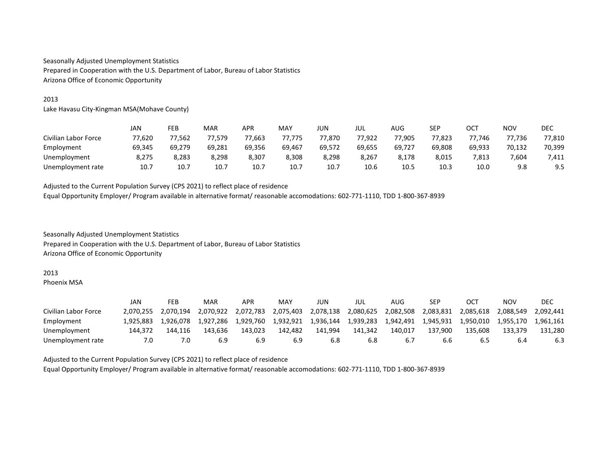# 2013

Lake Havasu City-Kingman MSA(Mohave County)

|                      | JAN    | FEB    | <b>MAR</b> | APR    | MAY    | JUN    | JUL    | AUG    | SEP    | ост    | NOV    | DEC    |
|----------------------|--------|--------|------------|--------|--------|--------|--------|--------|--------|--------|--------|--------|
| Civilian Labor Force | 77,620 | 77,562 | 77.579     | 77,663 | 77,775 | 77.870 | 77.922 | 77,905 | 77,823 | 77.746 | 77,736 | 77,810 |
| Employment           | 69.345 | 69.279 | 69.281     | 69.356 | 69,467 | 69.572 | 69.655 | 69.727 | 69,808 | 69.933 | 70,132 | 70,399 |
| Unemployment         | 8,275  | 8,283  | 8.298      | 8,307  | 8,308  | 8.298  | 8,267  | 8.178  | 8.015  | 7.813  | 7,604  | 7,411  |
| Unemployment rate    | 10.7   | 10.7   | 10.7       | 10.7   | 10.7   | 10.7   | 10.6   | 10.5   | 10.3   | 10.0   | 9.8    | 9.5    |

Adjusted to the Current Population Survey (CPS 2021) to reflect place of residence Equal Opportunity Employer/ Program available in alternative format/ reasonable accomodations: 602-771-1110, TDD 1-800-367-8939

Seasonally Adjusted Unemployment Statistics Prepared in Cooperation with the U.S. Department of Labor, Bureau of Labor Statistics Arizona Office of Economic Opportunity

#### 2013

Phoenix MSA

|                      | JAN       | FEB       | MAR       | APR       | MAY       | JUN       | jul       | AUG       | SEP       | OCT       | NOV       | DEC       |
|----------------------|-----------|-----------|-----------|-----------|-----------|-----------|-----------|-----------|-----------|-----------|-----------|-----------|
| Civilian Labor Force | 2.070.255 | 2.070.194 | 2.070.922 | 2,072,783 | 2,075,403 | 2,078,138 | 2,080,625 | 2,082,508 | 2,083,831 | 2.085.618 | 2,088,549 | 2.092.441 |
| Employment           | 1.925.883 | 1.926.078 | 1.927.286 | 1.929.760 | 1.932.921 | 1,936,144 | 1.939.283 | 1.942.491 | 1.945.931 | 1.950.010 | 1.955.170 | 1.961.161 |
| Unemployment         | 144.372   | 144.116   | 143.636   | 143.023   | 142.482   | 141.994   | 141.342   | 140.017   | 137.900   | 135.608   | 133.379   | 131.280   |
| Unemployment rate    | 7.0       | 7.0       | 6.9       | 6.9       | 6.9       | 6.8       | 6.8       | 6.7       | 6.6       | 6.5       | 6.4       | 6.3       |

Adjusted to the Current Population Survey (CPS 2021) to reflect place of residence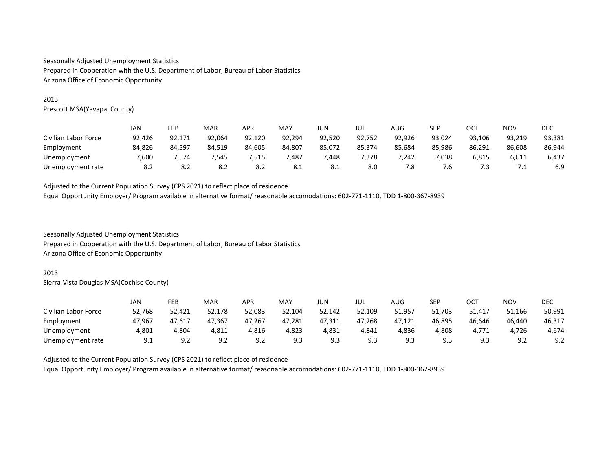## 2013

Prescott MSA(Yavapai County)

|                      | JAN    | FEB    | <b>MAR</b> | APR    | MAY    | JUN    | JUL    | AUG    | <b>SEP</b> | ост    | <b>NOV</b> | DEC    |
|----------------------|--------|--------|------------|--------|--------|--------|--------|--------|------------|--------|------------|--------|
| Civilian Labor Force | 92,426 | 92,171 | 92.064     | 92,120 | 92,294 | 92,520 | 92,752 | 92,926 | 93,024     | 93,106 | 93,219     | 93,381 |
| Employment           | 84,826 | 84,597 | 84.519     | 84.605 | 84,807 | 85,072 | 85.374 | 85,684 | 85,986     | 86.291 | 86,608     | 86,944 |
| Unemployment         | 7,600  | 1.574  | 7.545      | 515,'  | 7,487  | 448,   | 7.378  | 7,242  | 7,038      | 5,815  | 6,611      | 6,437  |
| Unemployment rate    | 8.2    | 8.2    | 8.2        | 8.2    | 8.1    | 8.1    | 8.0    | 7.8    | 7.b        | ر.,    | ,          | 6.9    |

Adjusted to the Current Population Survey (CPS 2021) to reflect place of residence Equal Opportunity Employer/ Program available in alternative format/ reasonable accomodations: 602-771-1110, TDD 1-800-367-8939

Seasonally Adjusted Unemployment Statistics Prepared in Cooperation with the U.S. Department of Labor, Bureau of Labor Statistics Arizona Office of Economic Opportunity

#### 2013

Sierra-Vista Douglas MSA(Cochise County)

|                      | JAN    | FEB    | MAR                  | APR    | MAY    | JUN    | jul    | AUG    | <b>SEP</b> | ост        | <b>NOV</b> | DEC    |
|----------------------|--------|--------|----------------------|--------|--------|--------|--------|--------|------------|------------|------------|--------|
| Civilian Labor Force | 52,768 | 52,421 | 52.178               | 52.083 | 52,104 | 52,142 | 52.109 | 51.957 | 51,703     | 51,417     | 51.166     | 50,991 |
| Employment           | 47.967 | 47,617 | 47,367               | 47.267 | 47,281 | 47,311 | 47.268 | 47,121 | 46,895     | 46.646     | 46.440     | 46,317 |
| Unemployment         | 4,801  | 4,804  | 4,811                | 4,816  | 4,823  | 4,831  | 4.841  | 4,836  | 4,808      | 4.771      | 4,726      | 4,674  |
| Unemployment rate    | 9.1    | 9.2    | o, σ<br><u>ے . د</u> | 9.2    | 9.3    | 9.3    | 9.3    | 9.3    | 9.3        | c٥<br>ر. ر | 9.2        | 9.2    |

Adjusted to the Current Population Survey (CPS 2021) to reflect place of residence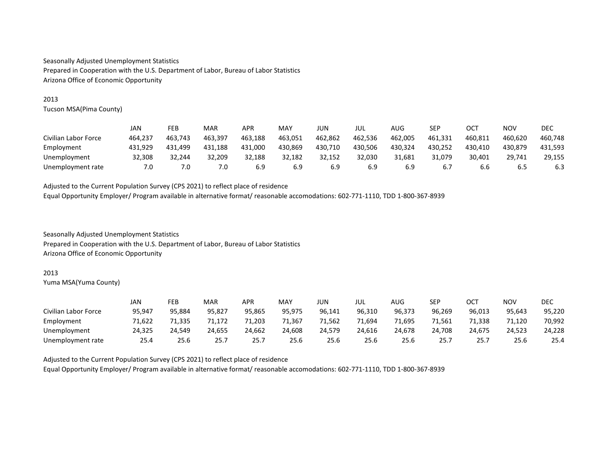# 2013

Tucson MSA(Pima County)

|                      | JAN     | FEB     | MAR     | APR     | MAY     | JUN     | jul     | AUG     | SEP     | <b>OCT</b> | <b>NOV</b> | DEC     |
|----------------------|---------|---------|---------|---------|---------|---------|---------|---------|---------|------------|------------|---------|
| Civilian Labor Force | 464.237 | 463.743 | 463,397 | 463,188 | 463,051 | 462.862 | 462.536 | 462,005 | 461.331 | 460,811    | 460,620    | 460.748 |
| Employment           | 431.929 | 431,499 | 431.188 | 431.000 | 430,869 | 430.710 | 430.506 | 430.324 | 430.252 | 430.410    | 430.879    | 431.593 |
| Unemployment         | 32.308  | 32.244  | 32.209  | 32.188  | 32.182  | 32.152  | 32.030  | 31.681  | 31.079  | 30.401     | 29.741     | 29.155  |
| Unemployment rate    | 7.0     | 7.0     | 7.0     | 6.9     | 6.9     | 6.9     | 6.9     | 6.9     | 6.7     | 6.6        | 6.5        | 6.3     |

Adjusted to the Current Population Survey (CPS 2021) to reflect place of residence Equal Opportunity Employer/ Program available in alternative format/ reasonable accomodations: 602-771-1110, TDD 1-800-367-8939

Seasonally Adjusted Unemployment Statistics Prepared in Cooperation with the U.S. Department of Labor, Bureau of Labor Statistics Arizona Office of Economic Opportunity

#### 2013

Yuma MSA(Yuma County)

|                      | JAN    | FEB    | MAR    | APR    | MAY    | JUN    | jul    | AUG    | <b>SEP</b> | OCT    | NOV    | DEC    |
|----------------------|--------|--------|--------|--------|--------|--------|--------|--------|------------|--------|--------|--------|
| Civilian Labor Force | 95.947 | 95.884 | 95.827 | 95.865 | 95.975 | 96.141 | 96.310 | 96.373 | 96.269     | 96.013 | 95.643 | 95,220 |
| Employment           | 71,622 | 71,335 | 71,172 | 71.203 | 71,367 | 71,562 | 71.694 | 71,695 | 71,561     | 71.338 | 71,120 | 70,992 |
| Unemployment         | 24.325 | 24.549 | 24,655 | 24.662 | 24,608 | 24.579 | 24.616 | 24.678 | 24,708     | 24.675 | 24,523 | 24,228 |
| Unemployment rate    | 25.4   | 25.6   | 25.7   | 25.7   | 25.6   | 25.6   | 25.6   | 25.6   | 25.7       | 25.1   | 25.6   | 25.4   |

Adjusted to the Current Population Survey (CPS 2021) to reflect place of residence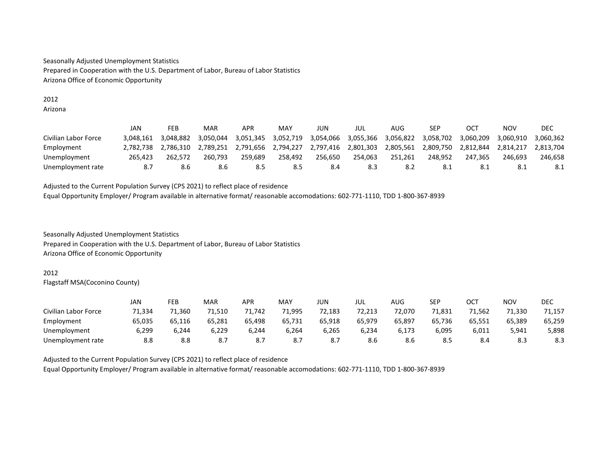## 2012 Arizona

|                      | JAN       | FEB       | MAR       | <b>APR</b> | MAY       | JUN       | JUL       | AUG       | SEP       | OC <sub>7</sub> | NOV       | DEC       |
|----------------------|-----------|-----------|-----------|------------|-----------|-----------|-----------|-----------|-----------|-----------------|-----------|-----------|
| Civilian Labor Force | 3.048.161 | 3.048.882 | 3.050.044 | 3.051.345  | 3.052.719 | 3.054.066 | 3.055.366 | 3.056.822 | 3.058.702 | 3.060.209       | 3.060.910 | 3.060.362 |
| Employment           | 2.782.738 | 2.786.310 | 2.789.251 | 2.791.656  | 2,794,227 | 2.797.416 | 2,801,303 | 2.805.561 | 2,809,750 | 2.812.844       | 2.814.217 | 2.813.704 |
| Unemployment         | 265.423   | 262.572   | 260.793   | 259.689    | 258.492   | 256.650   | 254.063   | 251.261   | 248.952   | 247.365         | 246.693   | 246.658   |
| Unemployment rate    |           | 8.6       | 8.6       | 8.5        | 8.5       | 8.4       | 8.3       | 8.2       | -8.1      | -8.1            | -8.1      | 8.1       |

Adjusted to the Current Population Survey (CPS 2021) to reflect place of residence Equal Opportunity Employer/ Program available in alternative format/ reasonable accomodations: 602-771-1110, TDD 1-800-367-8939

Seasonally Adjusted Unemployment Statistics Prepared in Cooperation with the U.S. Department of Labor, Bureau of Labor Statistics Arizona Office of Economic Opportunity

## 2012

Flagstaff MSA(Coconino County)

|                      | JAN    | FEB    | MAR    | APR    | MAY    | JUN    | jul    | AUG    | <b>SEP</b> | ост    | <b>NOV</b> | DEC    |
|----------------------|--------|--------|--------|--------|--------|--------|--------|--------|------------|--------|------------|--------|
| Civilian Labor Force | 71.334 | '1.360 | 71.510 | 71.742 | 71,995 | 72.183 | 72.213 | 72.070 | 71,831     | 71.562 | 71,330     | 71,157 |
| Employment           | 65,035 | 65,116 | 65,281 | 65,498 | 65,731 | 65,918 | 65,979 | 65,897 | 65,736     | 65,551 | 65,389     | 65,259 |
| Unemployment         | 6,299  | 6.244  | 6,229  | 6.244  | 6,264  | 6,265  | 6,234  | 6,173  | 6,095      | 6,011  | 5,941      | 5,898  |
| Unemployment rate    | 8.8    | 8.8    | 8.7    | 8.7    | 8.7    | 8.7    | 8.6    | 8.6    | 8.5        | 8.4    | 8.3        | 8.3    |

Adjusted to the Current Population Survey (CPS 2021) to reflect place of residence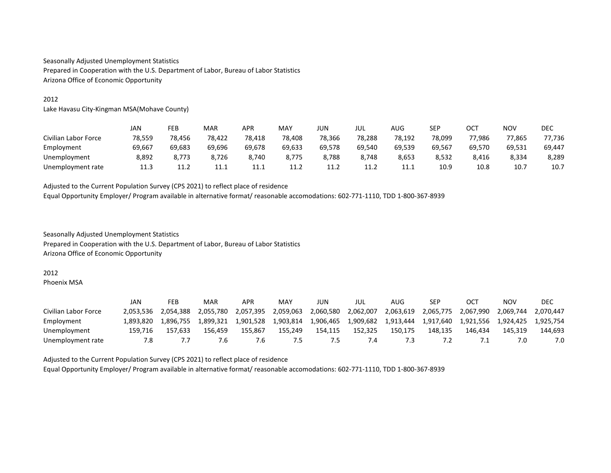# 2012

Lake Havasu City-Kingman MSA(Mohave County)

|                      | JAN    | FEB    | MAR    | <b>APR</b> | MAY    | JUN         | jul    | AUG    | <b>SEP</b> | OCT    | <b>NOV</b> | DEC    |
|----------------------|--------|--------|--------|------------|--------|-------------|--------|--------|------------|--------|------------|--------|
| Civilian Labor Force | 78,559 | 78,456 | 78,422 | 78.418     | 78,408 | 78,366      | 78.288 | 78,192 | 78.099     | 77.986 | 77,865     | 77,736 |
| Employment           | 69,667 | 69,683 | 69,696 | 69.678     | 69,633 | 69.578      | 69.540 | 69,539 | 69.567     | 69.570 | 69,531     | 69,447 |
| Unemployment         | 8,892  | 8.773  | 8.726  | 8.740      | 8.775  | 8,788       | 8.748  | 8,653  | 8,532      | 8,416  | 8,334      | 8,289  |
| Unemployment rate    | 11.3   | 11.2   | 11.1   | 11.1       | 11.2   | <b>11.4</b> | 11.2   | 11.1   | 10.9       | 10.8   | 10.7       | 10.7   |

Adjusted to the Current Population Survey (CPS 2021) to reflect place of residence Equal Opportunity Employer/ Program available in alternative format/ reasonable accomodations: 602-771-1110, TDD 1-800-367-8939

Seasonally Adjusted Unemployment Statistics Prepared in Cooperation with the U.S. Department of Labor, Bureau of Labor Statistics Arizona Office of Economic Opportunity

#### 2012

Phoenix MSA

|                      | JAN       | FEB       | MAR       | APR       | MAY       | JUN       | JUL            | AUG       | SEP       | OCT       | NOV       | DEC       |
|----------------------|-----------|-----------|-----------|-----------|-----------|-----------|----------------|-----------|-----------|-----------|-----------|-----------|
| Civilian Labor Force | 2.053.536 | 2.054.388 | 2.055.780 | 2,057,395 | 2.059.063 | 2,060,580 | 2.062.007      | 2,063,619 | 2,065,775 | 2,067,990 | 2.069.744 | 2.070.447 |
| Employment           | 1.893.820 | 1.896.755 | l.899.321 | 1.901.528 | 1.903.814 | 1,906,465 | 1,909,682      | 1,913,444 | 1.917.640 | 1.921.556 | 1.924.425 | 1.925.754 |
| Unemployment         | 159.716   | 157.633   | 156.459   | 155.867   | 155.249   | 154.115   | 152,325        | 150.175   | 148.135   | 146.434   | 145.319   | 144.693   |
| Unemployment rate    |           |           | '.b       | '.b       | כ.        | כ.י       | $^{\prime}$ .4 | 7.3       |           |           |           | 7.0       |

Adjusted to the Current Population Survey (CPS 2021) to reflect place of residence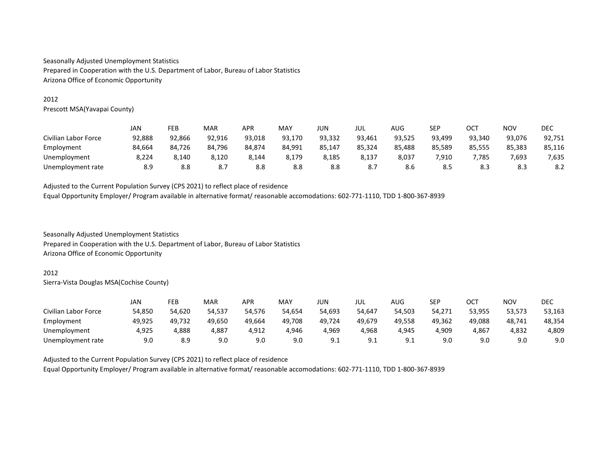# 2012

Prescott MSA(Yavapai County)

|                      | JAN    | FEB    | MAR    | APR    | MAY    | jun    | jul    | AUG    | SEP    | ост    | <b>NOV</b> | <b>DEC</b> |
|----------------------|--------|--------|--------|--------|--------|--------|--------|--------|--------|--------|------------|------------|
| Civilian Labor Force | 92,888 | 92,866 | 92,916 | 93.018 | 93,170 | 93,332 | 93.461 | 93,525 | 93,499 | 93,340 | 93.076     | 92,751     |
| Employment           | 84.664 | 84,726 | 84.796 | 84.874 | 84,991 | 85,147 | 85.324 | 85,488 | 85,589 | 85,555 | 85,383     | 85,116     |
| Unemployment         | 8,224  | 8.140  | 8,120  | 8,144  | 8,179  | 8,185  | 8,137  | 8,037  | 910.   | 7.785  | 7,693      | 7,635      |
| Unemployment rate    | 8.9    | 8.8    | 8.7    | 8.8    | 8.8    | 8.8    | 8.7    | 8.6    | 8.5    | 8.3    | 8.3        | 8.2        |

Adjusted to the Current Population Survey (CPS 2021) to reflect place of residence Equal Opportunity Employer/ Program available in alternative format/ reasonable accomodations: 602-771-1110, TDD 1-800-367-8939

Seasonally Adjusted Unemployment Statistics Prepared in Cooperation with the U.S. Department of Labor, Bureau of Labor Statistics Arizona Office of Economic Opportunity

#### 2012

Sierra-Vista Douglas MSA(Cochise County)

|                      | JAN    | FEB    | <b>MAR</b> | <b>APR</b> | MAY    | JUN    | jul             | AUG       | <b>SEP</b> | ост    | <b>NOV</b> | <b>DEC</b> |
|----------------------|--------|--------|------------|------------|--------|--------|-----------------|-----------|------------|--------|------------|------------|
| Civilian Labor Force | 54,850 | 54,620 | 54,537     | 54.576     | 54,654 | 54,693 | 54.647          | 54,503    | 54,271     | 53,955 | 53,573     | 53,163     |
| Employment           | 49,925 | 49,732 | 49,650     | 49.664     | 49,708 | 49,724 | 49.679          | 49,558    | 49.362     | 49.088 | 48,741     | 48,354     |
| Unemployment         | 4,925  | 4,888  | 4,887      | 4.912      | 4.946  | 4,969  | 4.968           | 4,945     | 4,909      | 4,867  | 4,832      | 4,809      |
| Unemployment rate    | 9.0    | 8.9    | 9.0        | 9.0        | 9.0    | 9.1    | q ·<br><u>.</u> | . a<br>◡. | 9.0        | 9.0    | 9.0        | 9.0        |

Adjusted to the Current Population Survey (CPS 2021) to reflect place of residence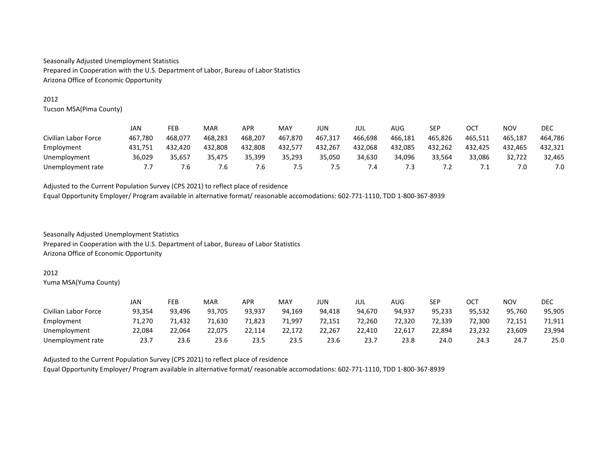# 2012

Tucson MSA(Pima County)

|                      | JAN     | FEB     | MAR     | APR     | MAY     | JUN     | JUL     | AUG     | SEP     | ост     | NOV     | <b>DEC</b> |
|----------------------|---------|---------|---------|---------|---------|---------|---------|---------|---------|---------|---------|------------|
| Civilian Labor Force | 467.780 | 468.077 | 468.283 | 468.207 | 467.870 | 467.317 | 466.698 | 466.181 | 465.826 | 465.511 | 465.187 | 464.786    |
| Employment           | 431.751 | 432.420 | 432.808 | 432.808 | 432,577 | 432.267 | 432.068 | 432.085 | 432.262 | 432.425 | 432.465 | 432.321    |
| Unemployment         | 36,029  | 35.657  | 35.475  | 35.399  | 35,293  | 35,050  | 34.630  | 34.096  | 33,564  | 33,086  | 32,722  | 32,465     |
| Unemployment rate    |         | '.6     | 6.′     | '.ხ     | ט.      | כ.י     | 7.4     |         | .       | .       | 7.0     | 7.0        |

Adjusted to the Current Population Survey (CPS 2021) to reflect place of residence Equal Opportunity Employer/ Program available in alternative format/ reasonable accomodations: 602-771-1110, TDD 1-800-367-8939

Seasonally Adjusted Unemployment Statistics Prepared in Cooperation with the U.S. Department of Labor, Bureau of Labor Statistics Arizona Office of Economic Opportunity

#### 2012

Yuma MSA(Yuma County)

|                      | JAN    | FEB    | MAR    | APR    | MAY    | JUN    | JUL    | AUG    | <b>SEP</b> | ост    | NOV    | DEC    |
|----------------------|--------|--------|--------|--------|--------|--------|--------|--------|------------|--------|--------|--------|
| Civilian Labor Force | 93.354 | 93.496 | 93.705 | 93.937 | 94.169 | 94.418 | 94.670 | 94.937 | 95.233     | 95.532 | 95.760 | 95,905 |
| Employment           | 71.270 | 1,432  | 71,630 | 71,823 | 71,997 | 72,151 | 72.260 | 72,320 | 72,339     | 72,300 | 72,151 | 71,911 |
| Unemployment         | 22,084 | 22.064 | 22.075 | 22.114 | 22.172 | 22.267 | 22.410 | 22,617 | 22,894     | 23.232 | 23,609 | 23,994 |
| Unemployment rate    | 23.    | 23.6   | 23.6   | 23.5   | 23.5   | 23.6   | 23.7   | 23.8   | 24.0       | 24.3   | 24.7   | 25.0   |

Adjusted to the Current Population Survey (CPS 2021) to reflect place of residence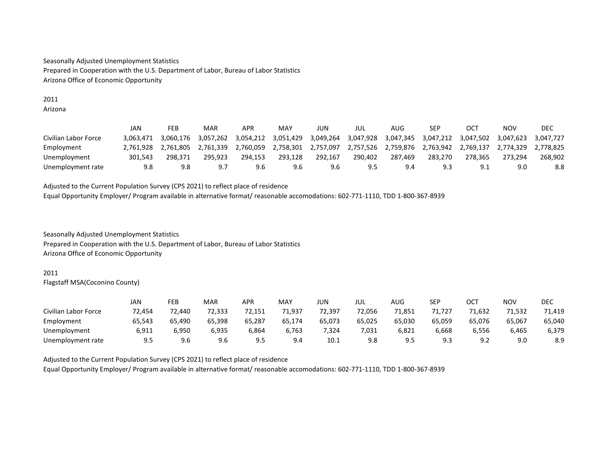#### 2011 Arizona

|                      | JAN       | FEB       | MAR       | APR       | MAY       | JUN       | JUL       | AUG       | SEP       | OC        | NOV       | DEC       |
|----------------------|-----------|-----------|-----------|-----------|-----------|-----------|-----------|-----------|-----------|-----------|-----------|-----------|
| Civilian Labor Force | 3.063.471 | 3.060.176 | 3.057.262 | 3,054,212 | 3,051,429 | 3,049,264 | 3,047,928 | 3,047,345 | 3.047.212 | 3,047,502 | 3,047,623 | 3.047.727 |
| Employment           | 2.761.928 | 2.761.805 | 2.761.339 | 2.760.059 | 2,758,301 | 2,757,097 | 2,757,526 | 2,759,876 | 2.763.942 | 2.769.137 | 2.774.329 | 2.778.825 |
| Unemployment         | 301.543   | 298.371   | 295.923   | 294.153   | 293.128   | 292.167   | 290.402   | 287.469   | 283.270   | 278.365   | 273.294   | 268.902   |
| Unemployment rate    | 9.8       | 9.8       | . G       | 9.6       | 9.6       | 9.6       | 9.5       | 9.4       | 9.3       | 9.1       | 9.0       | 8.8       |

Adjusted to the Current Population Survey (CPS 2021) to reflect place of residence Equal Opportunity Employer/ Program available in alternative format/ reasonable accomodations: 602-771-1110, TDD 1-800-367-8939

Seasonally Adjusted Unemployment Statistics Prepared in Cooperation with the U.S. Department of Labor, Bureau of Labor Statistics Arizona Office of Economic Opportunity

## 2011

Flagstaff MSA(Coconino County)

|                      | JAN    | FEB    | <b>MAR</b> | APR    | MAY    | JUN    | JUL    | AUG    | <b>SEP</b> | ост    | NOV    | DEC    |
|----------------------|--------|--------|------------|--------|--------|--------|--------|--------|------------|--------|--------|--------|
| Civilian Labor Force | 72.454 | 72.440 | 72.333     | 72.151 | 71.937 | 72.397 | 72.056 | 71,851 | 71.727     | 1.632  | 71,532 | 71.419 |
| Employment           | 65.543 | 65.490 | 65.398     | 65.287 | 65.174 | 65.073 | 65,025 | 65.030 | 65.059     | 65.076 | 65.067 | 65,040 |
| Unemployment         | 6,911  | 6,950  | 6.935      | 6,864  | 6,763  | 7,324  | 7,031  | 6,821  | 6,668      | 6.556  | 6,465  | 6,379  |
| Unemployment rate    | 9.5    | 9.6    | 9.6        | 9.5    | 9.4    | 10.1   | 9.8    | 9.5    | 9.3        | 9.2    | 9.0    | 8.9    |

Adjusted to the Current Population Survey (CPS 2021) to reflect place of residence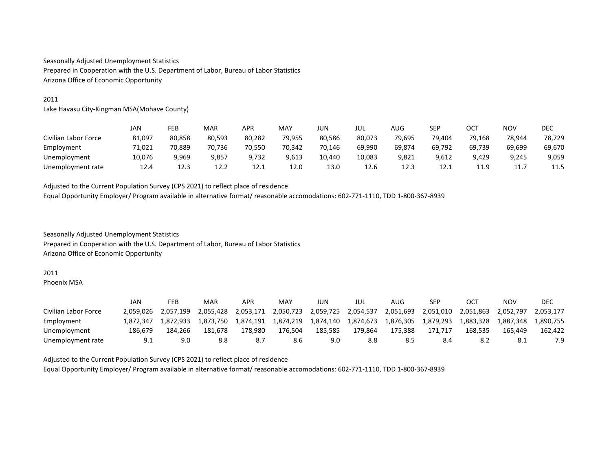# 2011

Lake Havasu City-Kingman MSA(Mohave County)

|                      | JAN    | FEB    | MAR    | <b>APR</b> | MAY    | JUN    | jul    | AUG    | SEP    | OCT    | <b>NOV</b> | <b>DEC</b> |
|----------------------|--------|--------|--------|------------|--------|--------|--------|--------|--------|--------|------------|------------|
| Civilian Labor Force | 81,097 | 80,858 | 80.593 | 80.282     | 79,955 | 80,586 | 80,073 | 79,695 | 79.404 | 79.168 | 78,944     | 78.729     |
| Employment           | 71.021 | 70,889 | 70.736 | 70.550     | 70.342 | 70.146 | 69.990 | 69.874 | 69.792 | 69.739 | 69,699     | 69,670     |
| Unemployment         | 10.076 | 9.969  | 9,857  | 9.732      | 9.613  | 10.440 | 10.083 | 9,821  | 9.612  | 9.429  | 9.245      | 9,059      |
| Unemployment rate    | 12.4   | 12.3   | 12.2   | 12.1       | 12.0   | 13.0   | 12.6   | 12.3   | 12.1   | 11.9   | 11.        | 11.5       |

Adjusted to the Current Population Survey (CPS 2021) to reflect place of residence Equal Opportunity Employer/ Program available in alternative format/ reasonable accomodations: 602-771-1110, TDD 1-800-367-8939

Seasonally Adjusted Unemployment Statistics Prepared in Cooperation with the U.S. Department of Labor, Bureau of Labor Statistics Arizona Office of Economic Opportunity

#### 2011

Phoenix MSA

|                      | JAN       | FEB       | MAR       | APR       | MAY       | JUN       | JUL       | AUG       | SEP       | <b>OCT</b> | NOV       | DEC       |
|----------------------|-----------|-----------|-----------|-----------|-----------|-----------|-----------|-----------|-----------|------------|-----------|-----------|
| Civilian Labor Force | 2.059.026 | 2.057.199 | 2.055.428 | 2.053.171 | 2.050.723 | 2,059,725 | 2.054.537 | 2.051.693 | 2.051.010 | 2.051.863  | 2.052.797 | 2.053.177 |
| Employment           | 1.872.347 | 1.872.933 | 1.873.750 | 1.874.191 | 1.874.219 | 1,874,140 | 1.874.673 | 1.876.305 | 1.879.293 | 1.883.328  | 1.887.348 | L.890.755 |
| Unemployment         | 186.679   | 184.266   | 181.678   | 178.980   | 176.504   | 185.585   | 179.864   | 175.388   | 171.717   | 168.535    | 165.449   | 162.422   |
| Unemployment rate    | 9.1       | 9.0       | 8.8       | 8.7       | 8.6       | 9.0       | 8.8       | 8.5       | 8.4       | 8.2        | 8.1       | 7.9       |

Adjusted to the Current Population Survey (CPS 2021) to reflect place of residence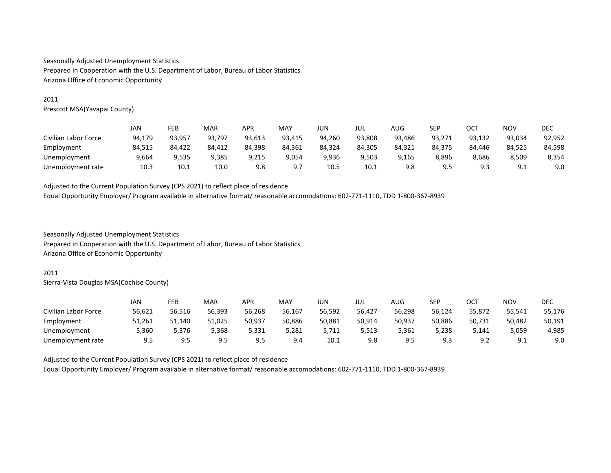# 2011

Prescott MSA(Yavapai County)

|                      | JAN    | FEB    | <b>MAR</b> | APR    | MAY    | JUN    | JUL    | AUG    | <b>SEP</b> | ост    | NOV       | DEC    |
|----------------------|--------|--------|------------|--------|--------|--------|--------|--------|------------|--------|-----------|--------|
| Civilian Labor Force | 94,179 | 93,957 | 93,797     | 93,613 | 93,415 | 94,260 | 93,808 | 93,486 | 93,271     | 93,132 | 93,034    | 92,952 |
| Employment           | 84.515 | 84.422 | 84.412     | 84.398 | 84,361 | 84.324 | 84.305 | 84,321 | 84.375     | 84.446 | 84,525    | 84,598 |
| Unemployment         | 9,664  | 9,535  | 9.385      | 9,215  | 9,054  | 9,936  | 9,503  | 9,165  | 8,896      | 8,686  | 8,509     | 8,354  |
| Unemployment rate    | 10.3   | 10.1   | 10.0       | 9.8    | 9 7    | 10.5   | 10.1   | 9.8    | 9.5        | 9.3    | ٩۰<br>ـ . | 9.0    |

Adjusted to the Current Population Survey (CPS 2021) to reflect place of residence Equal Opportunity Employer/ Program available in alternative format/ reasonable accomodations: 602-771-1110, TDD 1-800-367-8939

Seasonally Adjusted Unemployment Statistics Prepared in Cooperation with the U.S. Department of Labor, Bureau of Labor Statistics Arizona Office of Economic Opportunity

#### 2011

Sierra-Vista Douglas MSA(Cochise County)

|                      | JAN    | FEB    | MAR    | APR    | MAY    | JUN    | jul    | AUG    | SEP    | ост                   | <b>NOV</b> | <b>DEC</b> |
|----------------------|--------|--------|--------|--------|--------|--------|--------|--------|--------|-----------------------|------------|------------|
| Civilian Labor Force | 56,621 | 56,516 | 56,393 | 56.268 | 56,167 | 56,592 | 56,427 | 56,298 | 56,124 | 55,872                | 55,541     | 55,176     |
| Employment           | 51,261 | 51,140 | 51,025 | 50,937 | 50,886 | 50,881 | 50,914 | 50,937 | 50,886 | 50,731                | 50,482     | 50,191     |
| Unemployment         | 5,360  | 5.376  | 368,د  | 5.331  | 5,281  | 5.711  | 5.513  | 5,361  | 5,238  | 5.141                 | 5,059      | 4,985      |
| Unemployment rate    | 9.5    | 9.5    | 9.5    | 9.5    | 9.4    | 10.1   | 9.8    | 9.5    | 9.3    | 9 <sub>2</sub><br>ے.ر | ۰ ۵<br>◡.⊥ | 9.0        |

Adjusted to the Current Population Survey (CPS 2021) to reflect place of residence